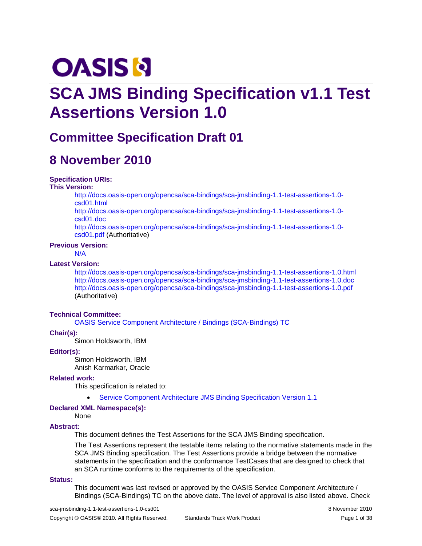# **OASIS N**

## **SCA JMS Binding Specification v1.1 Test Assertions Version 1.0**

## **Committee Specification Draft 01**

## **8 November 2010**

#### **Specification URIs:**

#### **This Version:**

[http://docs.oasis-open.org/opencsa/sca-bindings/sca-jmsbinding-1.1-test-assertions-1.0](http://docs.oasis-open.org/opencsa/sca-bindings/sca-jmsbinding-1.1-test-assertions-1.0-csd01.html) [csd01.html](http://docs.oasis-open.org/opencsa/sca-bindings/sca-jmsbinding-1.1-test-assertions-1.0-csd01.html)

[http://docs.oasis-open.org/opencsa/sca-bindings/sca-jmsbinding-1.1-test-assertions-1.0](http://docs.oasis-open.org/opencsa/sca-bindings/sca-jmsbinding-1.1-test-assertions-1.0-csd01.doc) [csd01.doc](http://docs.oasis-open.org/opencsa/sca-bindings/sca-jmsbinding-1.1-test-assertions-1.0-csd01.doc)

[http://docs.oasis-open.org/opencsa/sca-bindings/sca-jmsbinding-1.1-test-assertions-1.0](http://docs.oasis-open.org/opencsa/sca-bindings/sca-jmsbinding-1.1-test-assertions-1.0-csd01.pdf) [csd01.pdf](http://docs.oasis-open.org/opencsa/sca-bindings/sca-jmsbinding-1.1-test-assertions-1.0-csd01.pdf) (Authoritative)

#### **Previous Version:**

N/A

#### **Latest Version:**

<http://docs.oasis-open.org/opencsa/sca-bindings/sca-jmsbinding-1.1-test-assertions-1.0.html> <http://docs.oasis-open.org/opencsa/sca-bindings/sca-jmsbinding-1.1-test-assertions-1.0.doc> <http://docs.oasis-open.org/opencsa/sca-bindings/sca-jmsbinding-1.1-test-assertions-1.0.pdf> (Authoritative)

#### **Technical Committee:**

[OASIS Service Component Architecture / Bindings \(SCA-Bindings\) TC](http://www.oasis-open.org/committees/sca-bindings)

#### **Chair(s):**

Simon Holdsworth, IBM

#### **Editor(s):**

Simon Holdsworth, IBM Anish Karmarkar, Oracle

#### **Related work:**

This specification is related to:

Service Component Architecture [JMS Binding Specification Version 1.1](http://docs.oasis-open.org/opencsa/sca-bindings/sca-jmsbinding-1.1-spec-csd05.pdf)

#### **Declared XML Namespace(s):**

#### None

#### **Abstract:**

This document defines the Test Assertions for the SCA JMS Binding specification.

The Test Assertions represent the testable items relating to the normative statements made in the SCA JMS Binding specification. The Test Assertions provide a bridge between the normative statements in the specification and the conformance TestCases that are designed to check that an SCA runtime conforms to the requirements of the specification.

#### **Status:**

This document was last revised or approved by the OASIS Service Component Architecture / Bindings (SCA-Bindings) TC on the above date. The level of approval is also listed above. Check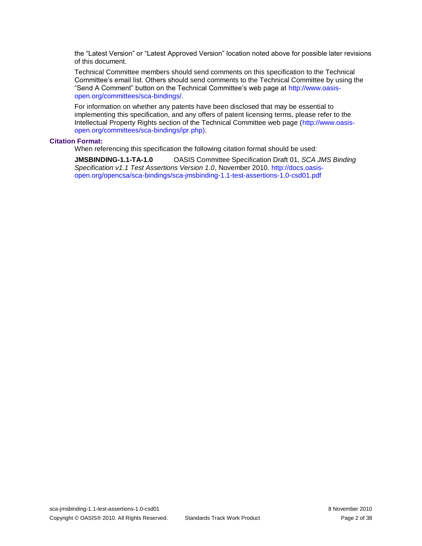the "Latest Version" or "Latest Approved Version" location noted above for possible later revisions of this document.

Technical Committee members should send comments on this specification to the Technical Committee's email list. Others should send comments to the Technical Committee by using the "Send A Comment" button on the Technical Committee's web page at [http://www.oasis](http://www.oasis-open.org/committees/sca-bindings/)[open.org/committees/sca-bindings/.](http://www.oasis-open.org/committees/sca-bindings/)

For information on whether any patents have been disclosed that may be essential to implementing this specification, and any offers of patent licensing terms, please refer to the Intellectual Property Rights section of the Technical Committee web page [\(http://www.oasis](http://www.oasis-open.org/committees/sca-bindings/ipr.php)[open.org/committees/sca-bindings/ipr.php\)](http://www.oasis-open.org/committees/sca-bindings/ipr.php).

#### **Citation Format:**

When referencing this specification the following citation format should be used:

**JMSBINDING-1.1-TA-1.0** OASIS Committee Specification Draft 01, *SCA JMS Binding Specification v1.1 Test Assertions Version 1.0*, November 2010[. http://docs.oasis](http://docs.oasis-open.org/opencsa/sca-bindings/sca-jmsbinding-1.1-test-assertions-1.0-csd01.pdf)[open.org/opencsa/sca-bindings/sca-jmsbinding-1.1-test-assertions-1.0-csd01.pdf](http://docs.oasis-open.org/opencsa/sca-bindings/sca-jmsbinding-1.1-test-assertions-1.0-csd01.pdf)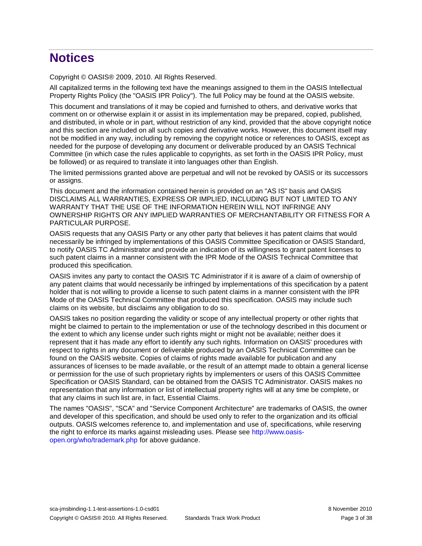## **Notices**

Copyright © OASIS® 2009, 2010. All Rights Reserved.

All capitalized terms in the following text have the meanings assigned to them in the OASIS Intellectual Property Rights Policy (the "OASIS IPR Policy"). The full Policy may be found at the OASIS website.

This document and translations of it may be copied and furnished to others, and derivative works that comment on or otherwise explain it or assist in its implementation may be prepared, copied, published, and distributed, in whole or in part, without restriction of any kind, provided that the above copyright notice and this section are included on all such copies and derivative works. However, this document itself may not be modified in any way, including by removing the copyright notice or references to OASIS, except as needed for the purpose of developing any document or deliverable produced by an OASIS Technical Committee (in which case the rules applicable to copyrights, as set forth in the OASIS IPR Policy, must be followed) or as required to translate it into languages other than English.

The limited permissions granted above are perpetual and will not be revoked by OASIS or its successors or assigns.

This document and the information contained herein is provided on an "AS IS" basis and OASIS DISCLAIMS ALL WARRANTIES, EXPRESS OR IMPLIED, INCLUDING BUT NOT LIMITED TO ANY WARRANTY THAT THE USE OF THE INFORMATION HEREIN WILL NOT INFRINGE ANY OWNERSHIP RIGHTS OR ANY IMPLIED WARRANTIES OF MERCHANTABILITY OR FITNESS FOR A PARTICULAR PURPOSE.

OASIS requests that any OASIS Party or any other party that believes it has patent claims that would necessarily be infringed by implementations of this OASIS Committee Specification or OASIS Standard, to notify OASIS TC Administrator and provide an indication of its willingness to grant patent licenses to such patent claims in a manner consistent with the IPR Mode of the OASIS Technical Committee that produced this specification.

OASIS invites any party to contact the OASIS TC Administrator if it is aware of a claim of ownership of any patent claims that would necessarily be infringed by implementations of this specification by a patent holder that is not willing to provide a license to such patent claims in a manner consistent with the IPR Mode of the OASIS Technical Committee that produced this specification. OASIS may include such claims on its website, but disclaims any obligation to do so.

OASIS takes no position regarding the validity or scope of any intellectual property or other rights that might be claimed to pertain to the implementation or use of the technology described in this document or the extent to which any license under such rights might or might not be available; neither does it represent that it has made any effort to identify any such rights. Information on OASIS' procedures with respect to rights in any document or deliverable produced by an OASIS Technical Committee can be found on the OASIS website. Copies of claims of rights made available for publication and any assurances of licenses to be made available, or the result of an attempt made to obtain a general license or permission for the use of such proprietary rights by implementers or users of this OASIS Committee Specification or OASIS Standard, can be obtained from the OASIS TC Administrator. OASIS makes no representation that any information or list of intellectual property rights will at any time be complete, or that any claims in such list are, in fact, Essential Claims.

The names "OASIS", "SCA" and "Service Component Architecture" are trademarks of OASIS, the owner and developer of this specification, and should be used only to refer to the organization and its official outputs. OASIS welcomes reference to, and implementation and use of, specifications, while reserving the right to enforce its marks against misleading uses. Please see [http://www.oasis](http://www.oasis-open.org/who/trademark.php)[open.org/who/trademark.php](http://www.oasis-open.org/who/trademark.php) for above guidance.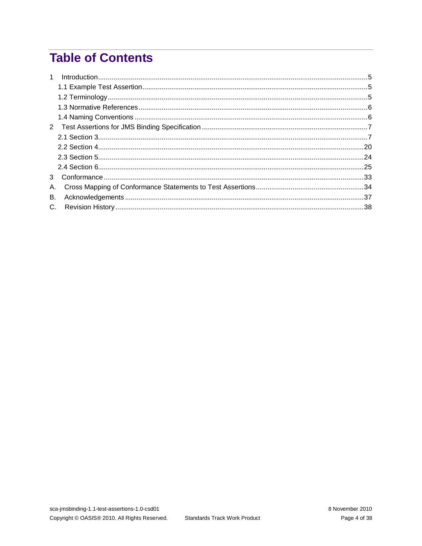## **Table of Contents**

| 1  |  |
|----|--|
|    |  |
|    |  |
|    |  |
|    |  |
|    |  |
|    |  |
|    |  |
|    |  |
|    |  |
| 3  |  |
| Α. |  |
| В. |  |
|    |  |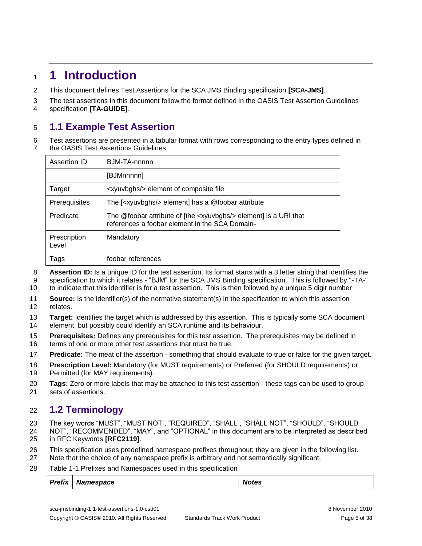## **1 Introduction**

This document defines Test Assertions for the SCA JMS Binding specification **[\[SCA-JMS\]](#page-5-0)**.

The test assertions in this document follow the format defined in the OASIS Test Assertion Guidelines

specification **[\[TA-GUIDE\]](#page-5-1)**.

#### **1.1 Example Test Assertion**

 Test assertions are presented in a tabular format with rows corresponding to the entry types defined in the OASIS Test Assertions Guidelines

| Assertion ID          | BJM-TA-nnnnn                                                                                                                 |
|-----------------------|------------------------------------------------------------------------------------------------------------------------------|
|                       | [BJMnnnnn]                                                                                                                   |
| Target                | <xyuvbghs></xyuvbghs> element of composite file                                                                              |
| Prerequisites         | The [ <xyuvbghs></xyuvbghs> element] has a @foobar attribute                                                                 |
| Predicate             | The @foobar attribute of [the <xyuvbghs></xyuvbghs> element] is a URI that<br>references a foobar element in the SCA Domain- |
| Prescription<br>Level | Mandatory                                                                                                                    |
| Tags                  | foobar references                                                                                                            |

 **Assertion ID:** Is a unique ID for the test assertion. Its format starts with a 3 letter string that identifies the specification to which it relates - "BJM" for the SCA JMS Binding specification. This is followed by "-TA-"

to indicate that this identifier is for a test assertion. This is then followed by a unique 5 digit number

- **Source:** Is the identifier(s) of the normative statement(s) in the specification to which this assertion relates.
- **Target:** Identifies the target which is addressed by this assertion. This is typically some SCA document

element, but possibly could identify an SCA runtime and its behaviour.

- **Prerequisites:** Defines any prerequisites for this test assertion. The prerequisites may be defined in
- terms of one or more other test assertions that must be true.
- **Predicate:** The meat of the assertion something that should evaluate to true or false for the given target.
- **Prescription Level:** Mandatory (for MUST requirements) or Preferred (for SHOULD requirements) or 19 Permitted (for MAY requirements).
- **Tags:** Zero or more labels that may be attached to this test assertion these tags can be used to group sets of assertions.

#### **1.2 Terminology**

The key words "MUST", "MUST NOT", "REQUIRED", "SHALL", "SHALL NOT", "SHOULD", "SHOULD

 NOT", "RECOMMENDED", "MAY", and "OPTIONAL" in this document are to be interpreted as described in RFC Keywords **[\[RFC2119\]](#page-5-2)**.

- This specification uses predefined namespace prefixes throughout; they are given in the following list.
- Note that the choice of any namespace prefix is arbitrary and not semantically significant.
- Table 1-1 Prefixes and Namespaces used in this specification

|  | <b>Prefix   Namespace</b> | <b>Notes</b> |
|--|---------------------------|--------------|
|--|---------------------------|--------------|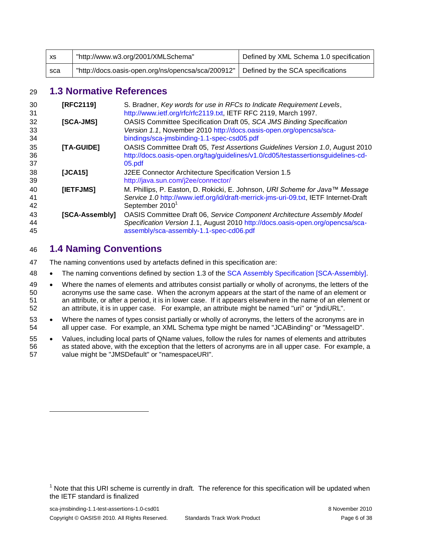| XS. | "http://www.w3.org/2001/XMLSchema"                 | Defined by XML Schema 1.0 specification |
|-----|----------------------------------------------------|-----------------------------------------|
| sca | "http://docs.oasis-open.org/ns/opencsa/sca/200912" | Defined by the SCA specifications       |

#### **1.3 Normative References**

<span id="page-5-5"></span><span id="page-5-2"></span><span id="page-5-1"></span><span id="page-5-0"></span>

| 30<br>31       | [RFC2119]      | S. Bradner, Key words for use in RFCs to Indicate Requirement Levels,<br>http://www.ietf.org/rfc/rfc2119.txt, IETF RFC 2119, March 1997.                                                                    |
|----------------|----------------|-------------------------------------------------------------------------------------------------------------------------------------------------------------------------------------------------------------|
| 32<br>33<br>34 | [SCA-JMS]      | OASIS Committee Specification Draft 05, SCA JMS Binding Specification<br>Version 1.1, November 2010 http://docs.oasis-open.org/opencsa/sca-<br>bindings/sca-jmsbinding-1.1-spec-csd05.pdf                   |
| 35<br>36<br>37 | [TA-GUIDE]     | OASIS Committee Draft 05, Test Assertions Guidelines Version 1.0, August 2010<br>http://docs.oasis-open.org/tag/guidelines/v1.0/cd05/testassertionsquidelines-cd-<br>05.pdf                                 |
| 38<br>39       | [JCA15]        | J2EE Connector Architecture Specification Version 1.5<br>http://java.sun.com/j2ee/connector/                                                                                                                |
| 40<br>41<br>42 | [IETFJMS]      | M. Phillips, P. Easton, D. Rokicki, E. Johnson, URI Scheme for Java™ Message<br>Service 1.0 http://www.ietf.org/id/draft-merrick-jms-uri-09.txt, IETF Internet-Draft<br>September 2010 <sup>1</sup>         |
| 43<br>44<br>45 | [SCA-Assembly] | <b>OASIS Committee Draft 06, Service Component Architecture Assembly Model</b><br>Specification Version 1.1, August 2010 http://docs.oasis-open.org/opencsa/sca-<br>assembly/sca-assembly-1.1-spec-cd06.pdf |

#### <span id="page-5-4"></span><span id="page-5-3"></span>**1.4 Naming Conventions**

-

The naming conventions used by artefacts defined in this specification are:

- 48 The naming conventions defined by section 1.3 of the [SCA Assembly Specification \[SCA-Assembly\].](#page-5-3)
- 49 Where the names of elements and attributes consist partially or wholly of acronyms, the letters of the acronyms use the same case. When the acronym appears at the start of the name of an element or an attribute, or after a period, it is in lower case. If it appears elsewhere in the name of an element or an attribute, it is in upper case. For example, an attribute might be named "uri" or "jndiURL".
- Where the names of types consist partially or wholly of acronyms, the letters of the acronyms are in all upper case. For example, an XML Schema type might be named "JCABinding" or "MessageID".
- 55 . Values, including local parts of QName values, follow the rules for names of elements and attributes as stated above, with the exception that the letters of acronyms are in all upper case. For example, a value might be "JMSDefault" or "namespaceURI".

<sup>&</sup>lt;sup>1</sup> Note that this URI scheme is currently in draft. The reference for this specification will be updated when the IETF standard is finalized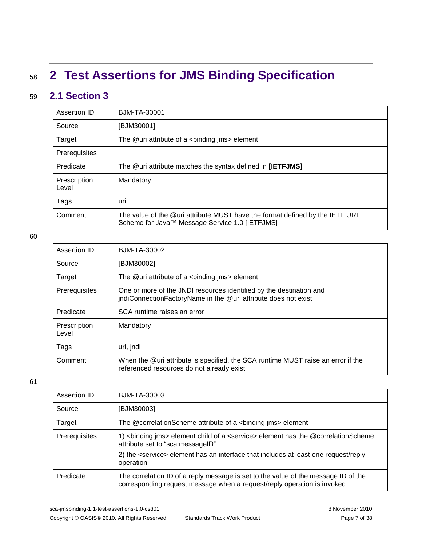## <sup>58</sup> **2 Test Assertions for JMS Binding Specification**

#### 59 **2.1 Section 3**

| Assertion ID          | BJM-TA-30001                                                                                                                   |
|-----------------------|--------------------------------------------------------------------------------------------------------------------------------|
| Source                | [BJM30001]                                                                                                                     |
| Target                | The @uri attribute of a <binding.jms> element</binding.jms>                                                                    |
| Prerequisites         |                                                                                                                                |
| Predicate             | The @uri attribute matches the syntax defined in [IETFJMS]                                                                     |
| Prescription<br>Level | Mandatory                                                                                                                      |
| Tags                  | uri                                                                                                                            |
| Comment               | The value of the @uri attribute MUST have the format defined by the IETF URI<br>Scheme for Java™ Message Service 1.0 [IETFJMS] |

60

| Assertion ID          | <b>BJM-TA-30002</b>                                                                                                                   |
|-----------------------|---------------------------------------------------------------------------------------------------------------------------------------|
| Source                | [BJM30002]                                                                                                                            |
| Target                | The @uri attribute of a <binding.jms> element</binding.jms>                                                                           |
| <b>Prerequisites</b>  | One or more of the JNDI resources identified by the destination and<br>jndiConnectionFactoryName in the @uri attribute does not exist |
| Predicate             | SCA runtime raises an error                                                                                                           |
| Prescription<br>Level | Mandatory                                                                                                                             |
| Tags                  | uri, jndi                                                                                                                             |
| Comment               | When the @uri attribute is specified, the SCA runtime MUST raise an error if the<br>referenced resources do not already exist         |

| Assertion ID  | <b>BJM-TA-30003</b>                                                                                                                                           |
|---------------|---------------------------------------------------------------------------------------------------------------------------------------------------------------|
| Source        | [BJM30003]                                                                                                                                                    |
| Target        | The @correlationScheme attribute of a<br>binding.jms> element                                                                                                 |
| Prerequisites | 1) <binding.jms> element child of a <service> element has the @correlationScheme<br/>attribute set to "sca:messageID"</service></binding.jms>                 |
|               | 2) the <service> element has an interface that includes at least one request/reply<br/>operation</service>                                                    |
| Predicate     | The correlation ID of a reply message is set to the value of the message ID of the<br>corresponding request message when a request/reply operation is invoked |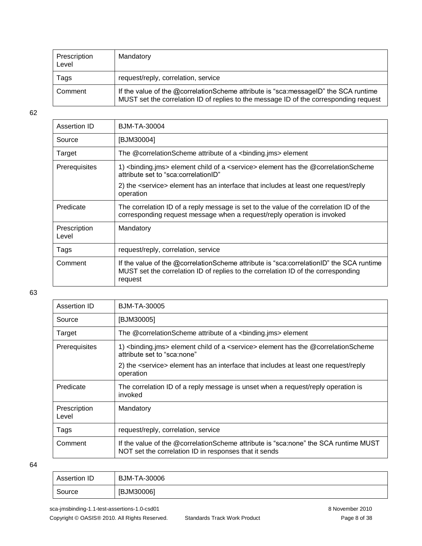| Prescription<br>Level | Mandatory                                                                                                                                                                    |
|-----------------------|------------------------------------------------------------------------------------------------------------------------------------------------------------------------------|
| Tags                  | request/reply, correlation, service                                                                                                                                          |
| Comment               | If the value of the @correlationScheme attribute is "sca:messageID" the SCA runtime<br>MUST set the correlation ID of replies to the message ID of the corresponding request |

| BJM-TA-30004                                                                                                                                                                            |
|-----------------------------------------------------------------------------------------------------------------------------------------------------------------------------------------|
| [BJM30004]                                                                                                                                                                              |
| The @correlationScheme attribute of a <binding.jms> element</binding.jms>                                                                                                               |
| 1) <binding.jms> element child of a <service> element has the @correlationScheme<br/>attribute set to "sca:correlationID"</service></binding.jms>                                       |
| 2) the <service> element has an interface that includes at least one request/reply<br/>operation</service>                                                                              |
| The correlation ID of a reply message is set to the value of the correlation ID of the<br>corresponding request message when a request/reply operation is invoked                       |
| Mandatory                                                                                                                                                                               |
| request/reply, correlation, service                                                                                                                                                     |
| If the value of the @correlationScheme attribute is "sca:correlationID" the SCA runtime<br>MUST set the correlation ID of replies to the correlation ID of the corresponding<br>request |
|                                                                                                                                                                                         |

63

| Assertion ID          | BJM-TA-30005                                                                                                                                 |
|-----------------------|----------------------------------------------------------------------------------------------------------------------------------------------|
| Source                | [BJM30005]                                                                                                                                   |
| Target                | The @correlationScheme attribute of a <binding.jms> element</binding.jms>                                                                    |
| Prerequisites         | 1) <binding.jms> element child of a <service> element has the @correlationScheme<br/>attribute set to "sca:none"</service></binding.jms>     |
|                       | 2) the <service> element has an interface that includes at least one request/reply<br/>operation</service>                                   |
| Predicate             | The correlation ID of a reply message is unset when a request/reply operation is<br>invoked                                                  |
| Prescription<br>Level | Mandatory                                                                                                                                    |
| Tags                  | request/reply, correlation, service                                                                                                          |
| Comment               | If the value of the @correlationScheme attribute is "sca:none" the SCA runtime MUST<br>NOT set the correlation ID in responses that it sends |

| Assertion ID | BJM-TA-30006 |
|--------------|--------------|
| Source       | [BJM30006]   |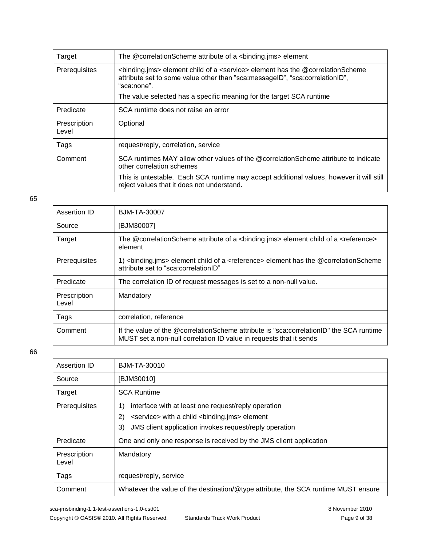| Target                | The @correlationScheme attribute of a<br>binding.jms> element                                                                                                                                            |
|-----------------------|----------------------------------------------------------------------------------------------------------------------------------------------------------------------------------------------------------|
| Prerequisites         | <binding.jms> element child of a <service> element has the @correlationScheme<br/>attribute set to some value other than "sca: messageID", "sca: correlationID",<br/>"sca:none".</service></binding.jms> |
|                       | The value selected has a specific meaning for the target SCA runtime                                                                                                                                     |
| Predicate             | SCA runtime does not raise an error                                                                                                                                                                      |
| Prescription<br>Level | Optional                                                                                                                                                                                                 |
| Tags                  | request/reply, correlation, service                                                                                                                                                                      |
| Comment               | SCA runtimes MAY allow other values of the @correlationScheme attribute to indicate<br>other correlation schemes                                                                                         |
|                       | This is untestable. Each SCA runtime may accept additional values, however it will still<br>reject values that it does not understand.                                                                   |

| Assertion ID          | BJM-TA-30007                                                                                                                                                  |
|-----------------------|---------------------------------------------------------------------------------------------------------------------------------------------------------------|
| Source                | [BJM30007]                                                                                                                                                    |
| Target                | The @correlationScheme attribute of a <binding.jms> element child of a <reference><br/>element</reference></binding.jms>                                      |
| Prerequisites         | 1) $\epsilon$ binding.jms> element child of a $\epsilon$ reference> element has the @correlationScheme<br>attribute set to "sca:correlationID"                |
| Predicate             | The correlation ID of request messages is set to a non-null value.                                                                                            |
| Prescription<br>Level | Mandatory                                                                                                                                                     |
| Tags                  | correlation, reference                                                                                                                                        |
| Comment               | If the value of the @correlationScheme attribute is "sca:correlationID" the SCA runtime<br>MUST set a non-null correlation ID value in requests that it sends |

| Assertion ID          | BJM-TA-30010                                                                       |
|-----------------------|------------------------------------------------------------------------------------|
| Source                | [BJM30010]                                                                         |
| Target                | <b>SCA Runtime</b>                                                                 |
| Prerequisites         | interface with at least one request/reply operation<br>1)                          |
|                       | 2)<br><service> with a child <binding.jms> element</binding.jms></service>         |
|                       | JMS client application invokes request/reply operation<br>3)                       |
| Predicate             | One and only one response is received by the JMS client application                |
| Prescription<br>Level | Mandatory                                                                          |
| Tags                  | request/reply, service                                                             |
| Comment               | Whatever the value of the destination/@type attribute, the SCA runtime MUST ensure |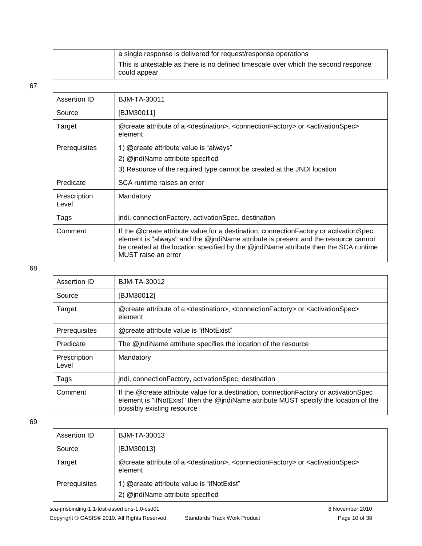| a single response is delivered for request/response operations                                     |
|----------------------------------------------------------------------------------------------------|
| This is untestable as there is no defined timescale over which the second response<br>could appear |
|                                                                                                    |

| Assertion ID          | BJM-TA-30011                                                                                                                                                                                                                                                                                 |
|-----------------------|----------------------------------------------------------------------------------------------------------------------------------------------------------------------------------------------------------------------------------------------------------------------------------------------|
| Source                | [BJM30011]                                                                                                                                                                                                                                                                                   |
| Target                | @create attribute of a <destination>, <connectionfactory> or <activationspec><br/>element</activationspec></connectionfactory></destination>                                                                                                                                                 |
| <b>Prerequisites</b>  | 1) @create attribute value is "always"                                                                                                                                                                                                                                                       |
|                       | 2) @jndiName attribute specified                                                                                                                                                                                                                                                             |
|                       | 3) Resource of the required type cannot be created at the JNDI location                                                                                                                                                                                                                      |
| Predicate             | SCA runtime raises an error                                                                                                                                                                                                                                                                  |
| Prescription<br>Level | Mandatory                                                                                                                                                                                                                                                                                    |
| Tags                  | jndi, connection Factory, activation Spec, destination                                                                                                                                                                                                                                       |
| Comment               | If the @create attribute value for a destination, connection Factory or activation Spec<br>element is "always" and the @jndiName attribute is present and the resource cannot<br>be created at the location specified by the @jndiName attribute then the SCA runtime<br>MUST raise an error |

#### 68

| Assertion ID          | BJM-TA-30012                                                                                                                                                                                                   |
|-----------------------|----------------------------------------------------------------------------------------------------------------------------------------------------------------------------------------------------------------|
| Source                | [BJM30012]                                                                                                                                                                                                     |
| Target                | @create attribute of a <destination>, <connectionfactory> or <activationspec><br/>element</activationspec></connectionfactory></destination>                                                                   |
| Prerequisites         | @create attribute value is "ifNotExist"                                                                                                                                                                        |
| Predicate             | The @jndiName attribute specifies the location of the resource                                                                                                                                                 |
| Prescription<br>Level | Mandatory                                                                                                                                                                                                      |
| Tags                  | jndi, connection Factory, activation Spec, destination                                                                                                                                                         |
| Comment               | If the @create attribute value for a destination, connection Factory or activation Spec<br>element is "ifNotExist" then the @jndiName attribute MUST specify the location of the<br>possibly existing resource |

| Assertion ID  | BJM-TA-30013                                                                                                                                 |
|---------------|----------------------------------------------------------------------------------------------------------------------------------------------|
| Source        | [BJM30013]                                                                                                                                   |
| Target        | @create attribute of a <destination>, <connectionfactory> or <activationspec><br/>element</activationspec></connectionfactory></destination> |
| Prerequisites | 1) @create attribute value is "ifNotExist"<br>2) @jndiName attribute specified                                                               |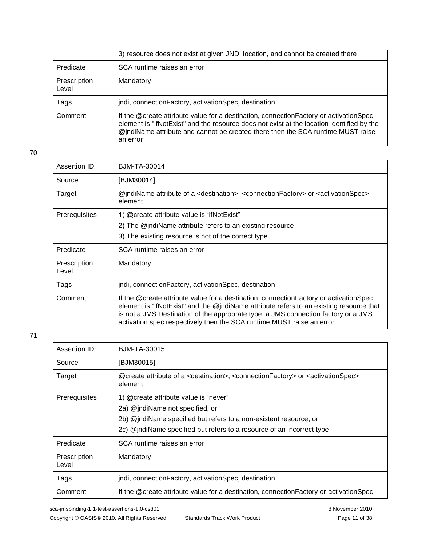|                       | 3) resource does not exist at given JNDI location, and cannot be created there                                                                                                                                                                                                      |
|-----------------------|-------------------------------------------------------------------------------------------------------------------------------------------------------------------------------------------------------------------------------------------------------------------------------------|
| Predicate             | SCA runtime raises an error                                                                                                                                                                                                                                                         |
| Prescription<br>Level | Mandatory                                                                                                                                                                                                                                                                           |
| Tags                  | jndi, connection Factory, activation Spec, destination                                                                                                                                                                                                                              |
| Comment               | If the @create attribute value for a destination, connection Factory or activation Spec<br>element is "ifNotExist" and the resource does not exist at the location identified by the<br>@jndiName attribute and cannot be created there then the SCA runtime MUST raise<br>an error |

| Assertion ID          | BJM-TA-30014                                                                                                                                                                                                                                                                                                                                      |
|-----------------------|---------------------------------------------------------------------------------------------------------------------------------------------------------------------------------------------------------------------------------------------------------------------------------------------------------------------------------------------------|
| Source                | [BJM30014]                                                                                                                                                                                                                                                                                                                                        |
| Target                | @indiName attribute of a <destination>, <connectionfactory> or <activationspec><br/>element</activationspec></connectionfactory></destination>                                                                                                                                                                                                    |
| <b>Prerequisites</b>  | 1) @create attribute value is "ifNotExist"                                                                                                                                                                                                                                                                                                        |
|                       | 2) The @jndiName attribute refers to an existing resource                                                                                                                                                                                                                                                                                         |
|                       | 3) The existing resource is not of the correct type                                                                                                                                                                                                                                                                                               |
| Predicate             | SCA runtime raises an error                                                                                                                                                                                                                                                                                                                       |
| Prescription<br>Level | Mandatory                                                                                                                                                                                                                                                                                                                                         |
| Tags                  | jndi, connection Factory, activation Spec, destination                                                                                                                                                                                                                                                                                            |
| Comment               | If the @create attribute value for a destination, connection Factory or activation Spec<br>element is "ifNotExist" and the @jndiName attribute refers to an existing resource that<br>is not a JMS Destination of the approprate type, a JMS connection factory or a JMS<br>activation spec respectively then the SCA runtime MUST raise an error |

| Assertion ID          | BJM-TA-30015                                                                                                                                 |
|-----------------------|----------------------------------------------------------------------------------------------------------------------------------------------|
| Source                | [BJM30015]                                                                                                                                   |
| Target                | @create attribute of a <destination>, <connectionfactory> or <activationspec><br/>element</activationspec></connectionfactory></destination> |
| Prerequisites         | 1) @create attribute value is "never"                                                                                                        |
|                       | 2a) @jndiName not specified, or                                                                                                              |
|                       | 2b) @indiName specified but refers to a non-existent resource, or                                                                            |
|                       | 2c) @jndiName specified but refers to a resource of an incorrect type                                                                        |
| Predicate             | SCA runtime raises an error                                                                                                                  |
| Prescription<br>Level | Mandatory                                                                                                                                    |
| Tags                  | jndi, connectionFactory, activationSpec, destination                                                                                         |
| Comment               | If the @create attribute value for a destination, connection Factory or activation Spec                                                      |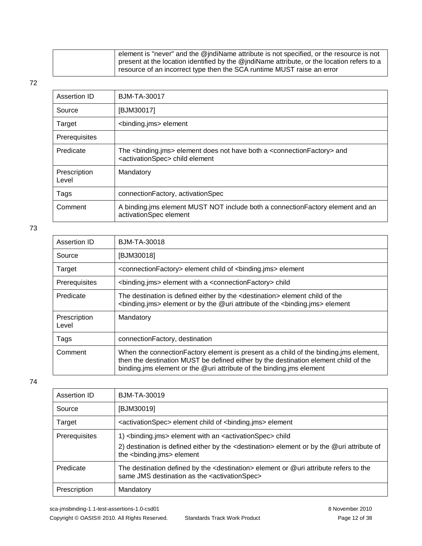| $\mathsf{I}$ element is "never" and the @jndiName attribute is not specified, or the resource is not |
|------------------------------------------------------------------------------------------------------|
| present at the location identified by the @jndiName attribute, or the location refers to a           |
| resource of an incorrect type then the SCA runtime MUST raise an error                               |

| Assertion ID          | BJM-TA-30017                                                                                                                                                 |
|-----------------------|--------------------------------------------------------------------------------------------------------------------------------------------------------------|
| Source                | [BJM30017]                                                                                                                                                   |
| Target                | <binding.jms> element</binding.jms>                                                                                                                          |
| Prerequisites         |                                                                                                                                                              |
| Predicate             | The <binding.jms> element does not have both a <connectionfactory> and<br/><activationspec> child element</activationspec></connectionfactory></binding.jms> |
| Prescription<br>Level | Mandatory                                                                                                                                                    |
| Tags                  | connectionFactory, activationSpec                                                                                                                            |
| Comment               | A binding.jms element MUST NOT include both a connection Factory element and an<br>activationSpec element                                                    |

73

| Assertion ID          | <b>BJM-TA-30018</b>                                                                                                                                                                                                                                  |
|-----------------------|------------------------------------------------------------------------------------------------------------------------------------------------------------------------------------------------------------------------------------------------------|
| Source                | [BJM30018]                                                                                                                                                                                                                                           |
| Target                | <connectionfactory> element child of <binding.jms> element</binding.jms></connectionfactory>                                                                                                                                                         |
| Prerequisites         | <binding.jms> element with a <connectionfactory> child</connectionfactory></binding.jms>                                                                                                                                                             |
| Predicate             | The destination is defined either by the <destination> element child of the<br/><binding.jms> element or by the @uri attribute of the <binding.jms> element</binding.jms></binding.jms></destination>                                                |
| Prescription<br>Level | Mandatory                                                                                                                                                                                                                                            |
| Tags                  | connectionFactory, destination                                                                                                                                                                                                                       |
| Comment               | When the connection Factory element is present as a child of the binding ims element,<br>then the destination MUST be defined either by the destination element child of the<br>binding ims element or the @uri attribute of the binding ims element |

| Assertion ID  | BJM-TA-30019                                                                                                                                                         |
|---------------|----------------------------------------------------------------------------------------------------------------------------------------------------------------------|
| Source        | [BJM30019]                                                                                                                                                           |
| Target        | <activationspec> element child of <br/>binding.jms&gt; element</activationspec>                                                                                      |
| Prerequisites | 1)<br>binding.jms> element with an <activationspec> child</activationspec>                                                                                           |
|               | 2) destination is defined either by the <destination> element or by the @uri attribute of<br/>the <binding.jms> element</binding.jms></destination>                  |
| Predicate     | The destination defined by the <destination> element or @uri attribute refers to the<br/>same JMS destination as the <activationspec></activationspec></destination> |
| Prescription  | Mandatory                                                                                                                                                            |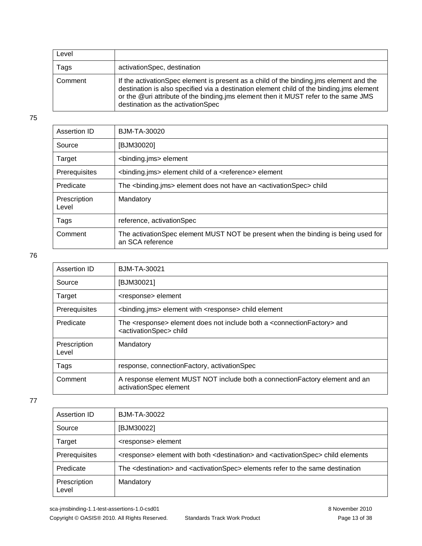| Level   |                                                                                                                                                                                                                                                                                                                 |
|---------|-----------------------------------------------------------------------------------------------------------------------------------------------------------------------------------------------------------------------------------------------------------------------------------------------------------------|
| Tags    | activationSpec, destination                                                                                                                                                                                                                                                                                     |
| Comment | If the activation Spec element is present as a child of the binding ims element and the<br>destination is also specified via a destination element child of the binding ims element<br>or the @uri attribute of the binding.jms element then it MUST refer to the same JMS<br>destination as the activationSpec |

| Assertion ID          | BJM-TA-30020                                                                                          |
|-----------------------|-------------------------------------------------------------------------------------------------------|
| Source                | [BJM30020]                                                                                            |
| Target                | <binding.jms> element</binding.jms>                                                                   |
| Prerequisites         | <binding.jms> element child of a <reference> element</reference></binding.jms>                        |
| Predicate             | The <binding.jms> element does not have an <activationspec> child</activationspec></binding.jms>      |
| Prescription<br>Level | Mandatory                                                                                             |
| Tags                  | reference, activationSpec                                                                             |
| Comment               | The activationSpec element MUST NOT be present when the binding is being used for<br>an SCA reference |

76

| Assertion ID          | <b>BJM-TA-30021</b>                                                                                                                               |
|-----------------------|---------------------------------------------------------------------------------------------------------------------------------------------------|
| Source                | [BJM30021]                                                                                                                                        |
| Target                | <response> element</response>                                                                                                                     |
| Prerequisites         | <binding.jms> element with <response> child element</response></binding.jms>                                                                      |
| Predicate             | The <response> element does not include both a <connectionfactory> and<br/><activationspec> child</activationspec></connectionfactory></response> |
| Prescription<br>Level | Mandatory                                                                                                                                         |
| Tags                  | response, connectionFactory, activationSpec                                                                                                       |
| Comment               | A response element MUST NOT include both a connection Factory element and an<br>activationSpec element                                            |

77

| Assertion ID          | <b>BJM-TA-30022</b>                                                                                                      |
|-----------------------|--------------------------------------------------------------------------------------------------------------------------|
| Source                | [BJM30022]                                                                                                               |
| Target                | <response> element</response>                                                                                            |
| Prerequisites         | <response> element with both <destination> and <activationspec> child elements</activationspec></destination></response> |
| Predicate             | The <destination> and <activationspec> elements refer to the same destination</activationspec></destination>             |
| Prescription<br>Level | Mandatory                                                                                                                |

sca-jmsbinding-1.1-test-assertions-1.0-csd01 8 November 2010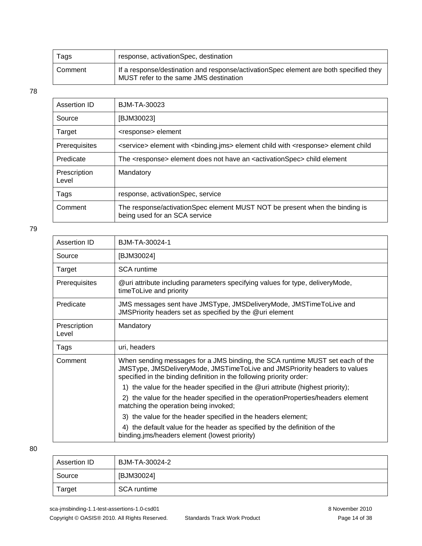| Tags    | response, activationSpec, destination                                                                                           |
|---------|---------------------------------------------------------------------------------------------------------------------------------|
| Comment | If a response/destination and response/activationSpec element are both specified they<br>MUST refer to the same JMS destination |

| Assertion ID          | <b>BJM-TA-30023</b>                                                                                                 |
|-----------------------|---------------------------------------------------------------------------------------------------------------------|
| Source                | [BJM30023]                                                                                                          |
| Target                | <response> element</response>                                                                                       |
| Prerequisites         | <service> element with <binding.jms> element child with <response> element child</response></binding.jms></service> |
| Predicate             | The <response> element does not have an <activationspec> child element</activationspec></response>                  |
| Prescription<br>Level | Mandatory                                                                                                           |
| Tags                  | response, activationSpec, service                                                                                   |
| Comment               | The response/activationSpec element MUST NOT be present when the binding is<br>being used for an SCA service        |

79

| Assertion ID          | BJM-TA-30024-1                                                                                                                                                                                                                     |
|-----------------------|------------------------------------------------------------------------------------------------------------------------------------------------------------------------------------------------------------------------------------|
| Source                | [BJM30024]                                                                                                                                                                                                                         |
| Target                | <b>SCA</b> runtime                                                                                                                                                                                                                 |
| Prerequisites         | @uri attribute including parameters specifying values for type, deliveryMode,<br>timeToLive and priority                                                                                                                           |
| Predicate             | JMS messages sent have JMSType, JMSDeliveryMode, JMSTimeToLive and<br>JMSPriority headers set as specified by the @uri element                                                                                                     |
| Prescription<br>Level | Mandatory                                                                                                                                                                                                                          |
| Tags                  | uri, headers                                                                                                                                                                                                                       |
| Comment               | When sending messages for a JMS binding, the SCA runtime MUST set each of the<br>JMSType, JMSDeliveryMode, JMSTimeToLive and JMSPriority headers to values<br>specified in the binding definition in the following priority order: |
|                       | 1) the value for the header specified in the @uri attribute (highest priority);                                                                                                                                                    |
|                       | 2) the value for the header specified in the operation Properties/headers element<br>matching the operation being invoked;                                                                                                         |
|                       | 3) the value for the header specified in the headers element;                                                                                                                                                                      |
|                       | 4) the default value for the header as specified by the definition of the<br>binding.jms/headers element (lowest priority)                                                                                                         |

| Assertion ID  | BJM-TA-30024-2 |
|---------------|----------------|
| Source        | [BJM30024]     |
| <b>Target</b> | SCA runtime    |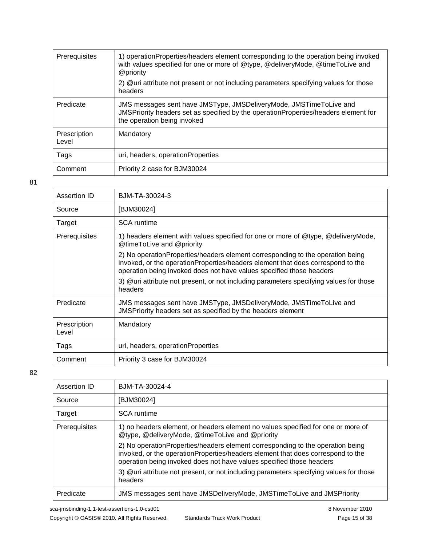| <b>Prerequisites</b>  | 1) operationProperties/headers element corresponding to the operation being invoked<br>with values specified for one or more of @type, @deliveryMode, @timeToLive and<br>@priority       |
|-----------------------|------------------------------------------------------------------------------------------------------------------------------------------------------------------------------------------|
|                       | 2) @uri attribute not present or not including parameters specifying values for those<br>headers                                                                                         |
| Predicate             | JMS messages sent have JMSType, JMSDeliveryMode, JMSTimeToLive and<br>JMSPriority headers set as specified by the operationProperties/headers element for<br>the operation being invoked |
| Prescription<br>Level | Mandatory                                                                                                                                                                                |
| Tags                  | uri, headers, operationProperties                                                                                                                                                        |
| Comment               | Priority 2 case for BJM30024                                                                                                                                                             |

| Assertion ID          | BJM-TA-30024-3                                                                                                                                                                                                                            |
|-----------------------|-------------------------------------------------------------------------------------------------------------------------------------------------------------------------------------------------------------------------------------------|
| Source                | [BJM30024]                                                                                                                                                                                                                                |
| Target                | <b>SCA</b> runtime                                                                                                                                                                                                                        |
| <b>Prerequisites</b>  | 1) headers element with values specified for one or more of @type, @deliveryMode,<br>@timeToLive and @priority                                                                                                                            |
|                       | 2) No operationProperties/headers element corresponding to the operation being<br>invoked, or the operationProperties/headers element that does correspond to the<br>operation being invoked does not have values specified those headers |
|                       | 3) @uri attribute not present, or not including parameters specifying values for those<br>headers                                                                                                                                         |
| Predicate             | JMS messages sent have JMSType, JMSDeliveryMode, JMSTimeToLive and<br>JMSPriority headers set as specified by the headers element                                                                                                         |
| Prescription<br>Level | Mandatory                                                                                                                                                                                                                                 |
| Tags                  | uri, headers, operationProperties                                                                                                                                                                                                         |
| Comment               | Priority 3 case for BJM30024                                                                                                                                                                                                              |
|                       |                                                                                                                                                                                                                                           |

| Assertion ID  | BJM-TA-30024-4                                                                                                                                                                                                                            |
|---------------|-------------------------------------------------------------------------------------------------------------------------------------------------------------------------------------------------------------------------------------------|
| Source        | [BJM30024]                                                                                                                                                                                                                                |
| Target        | <b>SCA</b> runtime                                                                                                                                                                                                                        |
| Prerequisites | 1) no headers element, or headers element no values specified for one or more of<br>@type, @deliveryMode, @timeToLive and @priority                                                                                                       |
|               | 2) No operationProperties/headers element corresponding to the operation being<br>invoked, or the operationProperties/headers element that does correspond to the<br>operation being invoked does not have values specified those headers |
|               | 3) @uri attribute not present, or not including parameters specifying values for those<br>headers                                                                                                                                         |
| Predicate     | JMS messages sent have JMSDeliveryMode, JMSTimeToLive and JMSPriority                                                                                                                                                                     |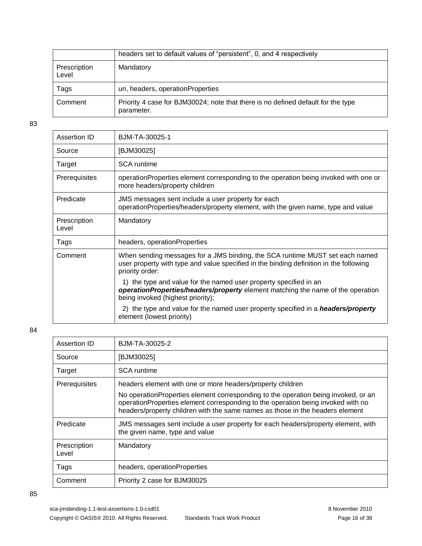|                       | headers set to default values of "persistent", 0, and 4 respectively                           |
|-----------------------|------------------------------------------------------------------------------------------------|
| Prescription<br>Level | Mandatory                                                                                      |
| Tags                  | uri, headers, operationProperties                                                              |
| Comment               | Priority 4 case for BJM30024; note that there is no defined default for the type<br>parameter. |

| Assertion ID          | B.JM-TA-30025-1                                                                                                                                                                           |
|-----------------------|-------------------------------------------------------------------------------------------------------------------------------------------------------------------------------------------|
| Source                | [BJM30025]                                                                                                                                                                                |
| Target                | <b>SCA</b> runtime                                                                                                                                                                        |
| <b>Prerequisites</b>  | operationProperties element corresponding to the operation being invoked with one or<br>more headers/property children                                                                    |
| Predicate             | JMS messages sent include a user property for each<br>operationProperties/headers/property element, with the given name, type and value                                                   |
| Prescription<br>Level | Mandatory                                                                                                                                                                                 |
| Tags                  | headers, operationProperties                                                                                                                                                              |
| Comment               | When sending messages for a JMS binding, the SCA runtime MUST set each named<br>user property with type and value specified in the binding definition in the following<br>priority order: |
|                       | 1) the type and value for the named user property specified in an<br>operationProperties/headers/property element matching the name of the operation<br>being invoked (highest priority); |
|                       | 2) the type and value for the named user property specified in a <i>headers/property</i><br>element (lowest priority)                                                                     |

| Assertion ID          | BJM-TA-30025-2                                                                                                                                                                                                                                           |
|-----------------------|----------------------------------------------------------------------------------------------------------------------------------------------------------------------------------------------------------------------------------------------------------|
| Source                | [BJM30025]                                                                                                                                                                                                                                               |
| Target                | <b>SCA</b> runtime                                                                                                                                                                                                                                       |
| Prerequisites         | headers element with one or more headers/property children                                                                                                                                                                                               |
|                       | No operation Properties element corresponding to the operation being invoked, or an<br>operationProperties element corresponding to the operation being invoked with no<br>headers/property children with the same names as those in the headers element |
| Predicate             | JMS messages sent include a user property for each headers/property element, with<br>the given name, type and value                                                                                                                                      |
| Prescription<br>Level | Mandatory                                                                                                                                                                                                                                                |
| Tags                  | headers, operationProperties                                                                                                                                                                                                                             |
| Comment               | Priority 2 case for BJM30025                                                                                                                                                                                                                             |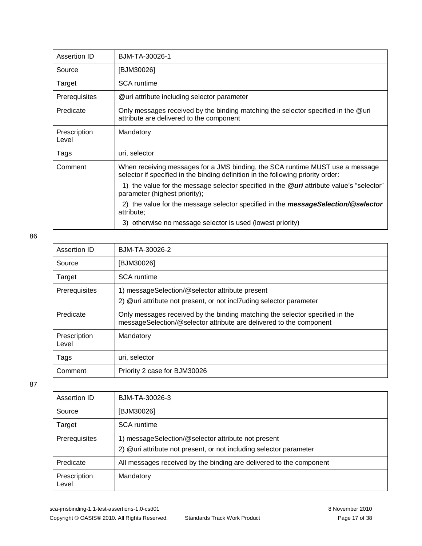| Assertion ID          | BJM-TA-30026-1                                                                                                                                                    |
|-----------------------|-------------------------------------------------------------------------------------------------------------------------------------------------------------------|
| Source                | [BJM30026]                                                                                                                                                        |
| Target                | <b>SCA</b> runtime                                                                                                                                                |
| <b>Prerequisites</b>  | @uri attribute including selector parameter                                                                                                                       |
| Predicate             | Only messages received by the binding matching the selector specified in the @uri<br>attribute are delivered to the component                                     |
| Prescription<br>Level | Mandatory                                                                                                                                                         |
| Tags                  | uri, selector                                                                                                                                                     |
| Comment               | When receiving messages for a JMS binding, the SCA runtime MUST use a message<br>selector if specified in the binding definition in the following priority order: |
|                       | 1) the value for the message selector specified in the @uri attribute value's "selector"<br>parameter (highest priority);                                         |
|                       | 2) the value for the message selector specified in the messageSelection/@selector<br>attribute;                                                                   |
|                       | 3) otherwise no message selector is used (lowest priority)                                                                                                        |

| Assertion ID          | BJM-TA-30026-2                                                                                                                                      |
|-----------------------|-----------------------------------------------------------------------------------------------------------------------------------------------------|
| Source                | [BJM30026]                                                                                                                                          |
| Target                | <b>SCA</b> runtime                                                                                                                                  |
| Prerequisites         | 1) messageSelection/@selector attribute present<br>2) @uri attribute not present, or not incl7uding selector parameter                              |
| Predicate             | Only messages received by the binding matching the selector specified in the<br>messageSelection/@selector attribute are delivered to the component |
| Prescription<br>Level | Mandatory                                                                                                                                           |
| Tags                  | uri, selector                                                                                                                                       |
| Comment               | Priority 2 case for BJM30026                                                                                                                        |

| Assertion ID          | BJM-TA-30026-3                                                                                                            |
|-----------------------|---------------------------------------------------------------------------------------------------------------------------|
| Source                | [BJM30026]                                                                                                                |
| Target                | <b>SCA</b> runtime                                                                                                        |
| Prerequisites         | 1) messageSelection/@selector attribute not present<br>2) @uri attribute not present, or not including selector parameter |
| Predicate             | All messages received by the binding are delivered to the component                                                       |
| Prescription<br>Level | Mandatory                                                                                                                 |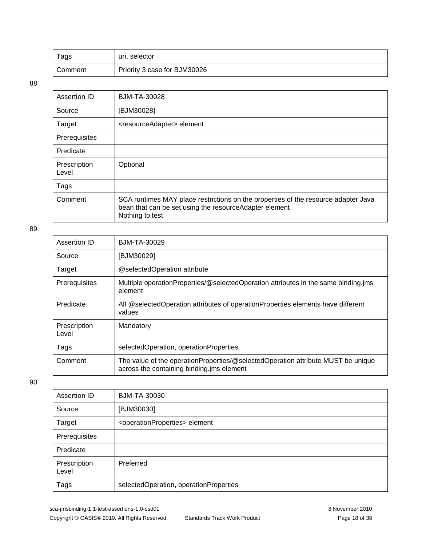| Tags    | uri, selector                |
|---------|------------------------------|
| Comment | Priority 3 case for BJM30026 |

| Assertion ID          | <b>BJM-TA-30028</b>                                                                                                                                             |
|-----------------------|-----------------------------------------------------------------------------------------------------------------------------------------------------------------|
| Source                | [BJM30028]                                                                                                                                                      |
| Target                | <resourceadapter> element</resourceadapter>                                                                                                                     |
| Prerequisites         |                                                                                                                                                                 |
| Predicate             |                                                                                                                                                                 |
| Prescription<br>Level | Optional                                                                                                                                                        |
| Tags                  |                                                                                                                                                                 |
| Comment               | SCA runtimes MAY place restrictions on the properties of the resource adapter Java<br>bean that can be set using the resourceAdapter element<br>Nothing to test |

#### 89

| Assertion ID          | <b>BJM-TA-30029</b>                                                                                                           |
|-----------------------|-------------------------------------------------------------------------------------------------------------------------------|
| Source                | [BJM30029]                                                                                                                    |
| Target                | @selectedOperation attribute                                                                                                  |
| Prerequisites         | Multiple operationProperties/@selectedOperation attributes in the same binding.jms<br>element                                 |
| Predicate             | All @selectedOperation attributes of operationProperties elements have different<br>values                                    |
| Prescription<br>Level | Mandatory                                                                                                                     |
| Tags                  | selectedOperation, operationProperties                                                                                        |
| Comment               | The value of the operationProperties/@selectedOperation attribute MUST be unique<br>across the containing binding ims element |

| Assertion ID          | BJM-TA-30030                                        |
|-----------------------|-----------------------------------------------------|
| Source                | [BJM30030]                                          |
| Target                | <operationproperties> element</operationproperties> |
| Prerequisites         |                                                     |
| Predicate             |                                                     |
| Prescription<br>Level | Preferred                                           |
| Tags                  | selectedOperation, operationProperties              |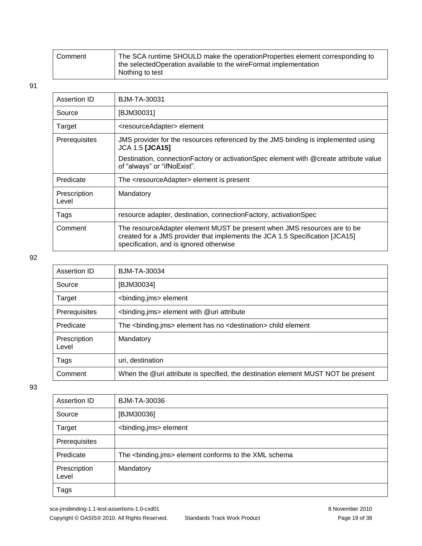| Comment | The SCA runtime SHOULD make the operation Properties element corresponding to<br>the selectedOperation available to the wireFormat implementation |
|---------|---------------------------------------------------------------------------------------------------------------------------------------------------|
|         | Nothing to test                                                                                                                                   |

| Assertion ID          | <b>BJM-TA-30031</b>                                                                                                                                                                                  |
|-----------------------|------------------------------------------------------------------------------------------------------------------------------------------------------------------------------------------------------|
| Source                | [BJM30031]                                                                                                                                                                                           |
| Target                | <resourceadapter> element</resourceadapter>                                                                                                                                                          |
| Prerequisites         | JMS provider for the resources referenced by the JMS binding is implemented using<br><b>JCA 1.5 [JCA15]</b>                                                                                          |
|                       | Destination, connection Factory or activation Spec element with @create attribute value<br>of "always" or "ifNoExist".                                                                               |
| Predicate             | The <resourceadapter> element is present</resourceadapter>                                                                                                                                           |
| Prescription<br>Level | Mandatory                                                                                                                                                                                            |
| Tags                  | resource adapter, destination, connection Factory, activation Spec                                                                                                                                   |
| Comment               | The resource Adapter element MUST be present when JMS resources are to be<br>created for a JMS provider that implements the JCA 1.5 Specification [JCA15]<br>specification, and is ignored otherwise |

#### 92

| Assertion ID          | <b>BJM-TA-30034</b>                                                               |
|-----------------------|-----------------------------------------------------------------------------------|
| Source                | [BJM30034]                                                                        |
| Target                | <binding.jms> element</binding.jms>                                               |
| Prerequisites         | <binding.jms> element with @uri attribute</binding.jms>                           |
| Predicate             | The<br>lement has no <destination> child element</destination>                    |
| Prescription<br>Level | Mandatory                                                                         |
| Tags                  | uri, destination                                                                  |
| Comment               | When the @uri attribute is specified, the destination element MUST NOT be present |

93

| Assertion ID          | <b>BJM-TA-30036</b>                                                |
|-----------------------|--------------------------------------------------------------------|
| Source                | [BJM30036]                                                         |
| Target                | <binding.jms> element</binding.jms>                                |
| Prerequisites         |                                                                    |
| Predicate             | The <binding.jms> element conforms to the XML schema</binding.jms> |
| Prescription<br>Level | Mandatory                                                          |
| Tags                  |                                                                    |

sca-jmsbinding-1.1-test-assertions-1.0-csd01 8 November 2010 Copyright © OASIS® 2010. All Rights Reserved. Standards Track Work Product Page 19 of 38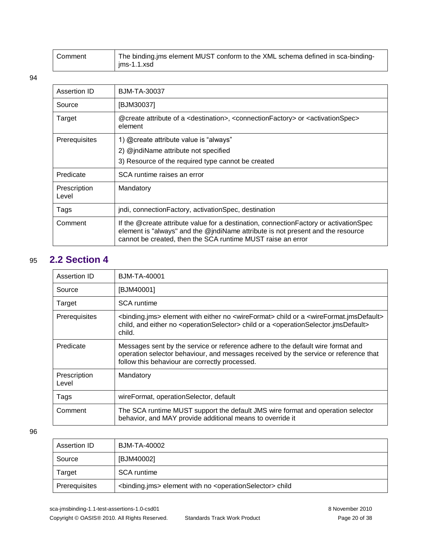| Comment | The binding.jms element MUST conform to the XML schema defined in sca-binding- |
|---------|--------------------------------------------------------------------------------|
|         | $ims-1.1.xsd$                                                                  |

| Assertion ID          | <b>BJM-TA-30037</b>                                                                                                                                                                                                                       |
|-----------------------|-------------------------------------------------------------------------------------------------------------------------------------------------------------------------------------------------------------------------------------------|
| Source                | [BJM30037]                                                                                                                                                                                                                                |
| Target                | @create attribute of a <destination>, <connectionfactory> or <activationspec><br/>element</activationspec></connectionfactory></destination>                                                                                              |
| Prerequisites         | 1) @create attribute value is "always"                                                                                                                                                                                                    |
|                       | 2) @jndiName attribute not specified                                                                                                                                                                                                      |
|                       | 3) Resource of the required type cannot be created                                                                                                                                                                                        |
| Predicate             | SCA runtime raises an error                                                                                                                                                                                                               |
| Prescription<br>Level | Mandatory                                                                                                                                                                                                                                 |
| Tags                  | jndi, connectionFactory, activationSpec, destination                                                                                                                                                                                      |
| Comment               | If the @create attribute value for a destination, connection Factory or activation Spec<br>element is "always" and the @jndiName attribute is not present and the resource<br>cannot be created, then the SCA runtime MUST raise an error |

#### 95 **2.2 Section 4**

| Assertion ID          | <b>BJM-TA-40001</b>                                                                                                                                                                                                                                                                          |
|-----------------------|----------------------------------------------------------------------------------------------------------------------------------------------------------------------------------------------------------------------------------------------------------------------------------------------|
| Source                | [BJM40001]                                                                                                                                                                                                                                                                                   |
| Target                | <b>SCA</b> runtime                                                                                                                                                                                                                                                                           |
| Prerequisites         | <binding.jms> element with either no <wireformat> child or a <wireformat.jmsdefault><br/>child, and either no <operationselector> child or a <operationselector.jmsdefault><br/>child.</operationselector.jmsdefault></operationselector></wireformat.jmsdefault></wireformat></binding.jms> |
| Predicate             | Messages sent by the service or reference adhere to the default wire format and<br>operation selector behaviour, and messages received by the service or reference that<br>follow this behaviour are correctly processed.                                                                    |
| Prescription<br>Level | Mandatory                                                                                                                                                                                                                                                                                    |
| Tags                  | wireFormat, operationSelector, default                                                                                                                                                                                                                                                       |
| Comment               | The SCA runtime MUST support the default JMS wire format and operation selector<br>behavior, and MAY provide additional means to override it                                                                                                                                                 |

| Assertion ID  | BJM-TA-40002                                                                              |
|---------------|-------------------------------------------------------------------------------------------|
| Source        | [BJM40002]                                                                                |
| Target        | <b>SCA</b> runtime                                                                        |
| Prerequisites | <binding.jms> element with no <operationselector> child</operationselector></binding.jms> |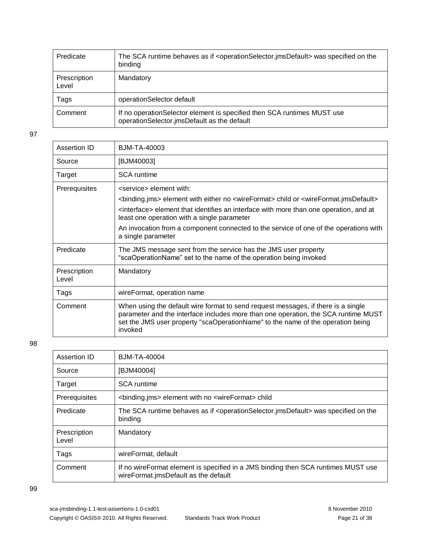| Predicate             | The SCA runtime behaves as if <operationselector.jmsdefault> was specified on the<br/>binding</operationselector.jmsdefault> |
|-----------------------|------------------------------------------------------------------------------------------------------------------------------|
| Prescription<br>Level | Mandatory                                                                                                                    |
| Tags                  | operationSelector default                                                                                                    |
| Comment               | If no operation Selector element is specified then SCA runtimes MUST use<br>operationSelector.jmsDefault as the default      |

| Assertion ID          | BJM-TA-40003                                                                                                                                                                                                                                                          |
|-----------------------|-----------------------------------------------------------------------------------------------------------------------------------------------------------------------------------------------------------------------------------------------------------------------|
| Source                | [BJM40003]                                                                                                                                                                                                                                                            |
| Target                | <b>SCA</b> runtime                                                                                                                                                                                                                                                    |
| Prerequisites         | <service> element with:</service>                                                                                                                                                                                                                                     |
|                       | <binding.jms> element with either no <wireformat> child or <wireformat.jmsdefault></wireformat.jmsdefault></wireformat></binding.jms>                                                                                                                                 |
|                       | <interface> element that identifies an interface with more than one operation, and at<br/>least one operation with a single parameter</interface>                                                                                                                     |
|                       | An invocation from a component connected to the service of one of the operations with<br>a single parameter                                                                                                                                                           |
| Predicate             | The JMS message sent from the service has the JMS user property<br>"scaOperationName" set to the name of the operation being invoked                                                                                                                                  |
| Prescription<br>Level | Mandatory                                                                                                                                                                                                                                                             |
| Tags                  | wireFormat, operation name                                                                                                                                                                                                                                            |
| Comment               | When using the default wire format to send request messages, if there is a single<br>parameter and the interface includes more than one operation, the SCA runtime MUST<br>set the JMS user property "scaOperationName" to the name of the operation being<br>invoked |

98

| Assertion ID          | BJM-TA-40004                                                                                                                 |
|-----------------------|------------------------------------------------------------------------------------------------------------------------------|
| Source                | [BJM40004]                                                                                                                   |
| Target                | <b>SCA</b> runtime                                                                                                           |
| Prerequisites         | <binding.jms> element with no <wireformat> child</wireformat></binding.jms>                                                  |
| Predicate             | The SCA runtime behaves as if <operationselector.jmsdefault> was specified on the<br/>binding</operationselector.jmsdefault> |
| Prescription<br>Level | Mandatory                                                                                                                    |
| Tags                  | wireFormat, default                                                                                                          |
| Comment               | If no wire Format element is specified in a JMS binding then SCA runtimes MUST use<br>wireFormat.jmsDefault as the default   |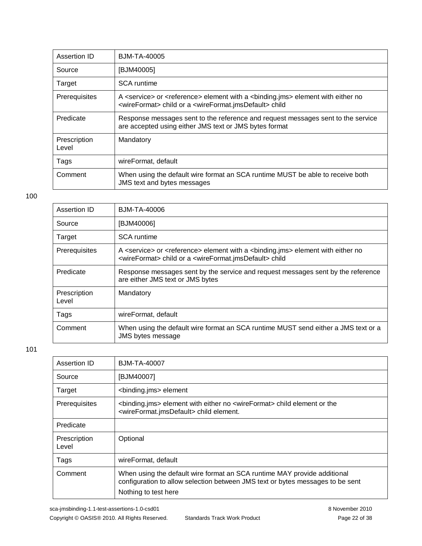| Assertion ID          | <b>BJM-TA-40005</b>                                                                                                                                                                                               |
|-----------------------|-------------------------------------------------------------------------------------------------------------------------------------------------------------------------------------------------------------------|
| Source                | [BJM40005]                                                                                                                                                                                                        |
| Target                | <b>SCA</b> runtime                                                                                                                                                                                                |
| Prerequisites         | A <service> or <reference> element with a <binding.jms> element with either no<br/><wireformat> child or a <wireformat.jmsdefault> child</wireformat.jmsdefault></wireformat></binding.jms></reference></service> |
| Predicate             | Response messages sent to the reference and request messages sent to the service<br>are accepted using either JMS text or JMS bytes format                                                                        |
| Prescription<br>Level | Mandatory                                                                                                                                                                                                         |
| Tags                  | wireFormat, default                                                                                                                                                                                               |
| Comment               | When using the default wire format an SCA runtime MUST be able to receive both<br>JMS text and bytes messages                                                                                                     |

| Assertion ID          | BJM-TA-40006                                                                                                                                                                                                      |
|-----------------------|-------------------------------------------------------------------------------------------------------------------------------------------------------------------------------------------------------------------|
| Source                | [BJM40006]                                                                                                                                                                                                        |
| Target                | <b>SCA</b> runtime                                                                                                                                                                                                |
| Prerequisites         | A <service> or <reference> element with a <br/> <br/>kbinding.jms&gt; element with either no<br/><wireformat> child or a <wireformat.jmsdefault> child</wireformat.jmsdefault></wireformat></reference></service> |
| Predicate             | Response messages sent by the service and request messages sent by the reference<br>are either JMS text or JMS bytes                                                                                              |
| Prescription<br>Level | Mandatory                                                                                                                                                                                                         |
| Tags                  | wireFormat, default                                                                                                                                                                                               |
| Comment               | When using the default wire format an SCA runtime MUST send either a JMS text or a<br><b>JMS</b> bytes message                                                                                                    |

| Assertion ID          | <b>BJM-TA-40007</b>                                                                                                                                                                |
|-----------------------|------------------------------------------------------------------------------------------------------------------------------------------------------------------------------------|
| Source                | [BJM40007]                                                                                                                                                                         |
| Target                | <binding.jms> element</binding.jms>                                                                                                                                                |
| Prerequisites         | <binding.jms> element with either no <wireformat> child element or the<br/><wireformat.jmsdefault> child element.</wireformat.jmsdefault></wireformat></binding.jms>               |
| Predicate             |                                                                                                                                                                                    |
| Prescription<br>Level | Optional                                                                                                                                                                           |
| Tags                  | wireFormat, default                                                                                                                                                                |
| Comment               | When using the default wire format an SCA runtime MAY provide additional<br>configuration to allow selection between JMS text or bytes messages to be sent<br>Nothing to test here |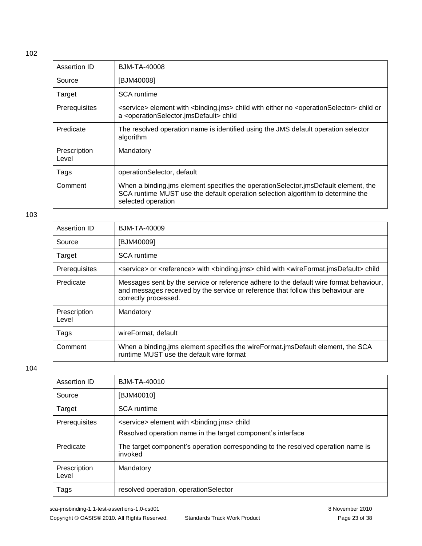| Assertion ID          | BJM-TA-40008                                                                                                                                                                                                 |
|-----------------------|--------------------------------------------------------------------------------------------------------------------------------------------------------------------------------------------------------------|
| Source                | [BJM40008]                                                                                                                                                                                                   |
| Target                | <b>SCA</b> runtime                                                                                                                                                                                           |
| Prerequisites         | <service> element with <binding.jms> child with either no <operationselector> child or<br/>a <operationselector.jmsdefault> child</operationselector.jmsdefault></operationselector></binding.jms></service> |
| Predicate             | The resolved operation name is identified using the JMS default operation selector<br>algorithm                                                                                                              |
| Prescription<br>Level | Mandatory                                                                                                                                                                                                    |
| Tags                  | operationSelector, default                                                                                                                                                                                   |
| Comment               | When a binding ims element specifies the operation Selector ims Default element, the<br>SCA runtime MUST use the default operation selection algorithm to determine the<br>selected operation                |

#### 103

| Assertion ID          | BJM-TA-40009                                                                                                                                                                                       |
|-----------------------|----------------------------------------------------------------------------------------------------------------------------------------------------------------------------------------------------|
| Source                | [BJM40009]                                                                                                                                                                                         |
| Target                | SCA runtime                                                                                                                                                                                        |
| Prerequisites         | <service> or <reference> with <br/>kbinding.jms&gt; child with <wireformat.jmsdefault> child</wireformat.jmsdefault></reference></service>                                                         |
| Predicate             | Messages sent by the service or reference adhere to the default wire format behaviour,<br>and messages received by the service or reference that follow this behaviour are<br>correctly processed. |
| Prescription<br>Level | Mandatory                                                                                                                                                                                          |
| Tags                  | wireFormat, default                                                                                                                                                                                |
| Comment               | When a binding.jms element specifies the wireFormat.jmsDefault element, the SCA<br>runtime MUST use the default wire format                                                                        |

| Assertion ID          | BJM-TA-40010                                                                                                                      |
|-----------------------|-----------------------------------------------------------------------------------------------------------------------------------|
| Source                | [BJM40010]                                                                                                                        |
| Target                | <b>SCA</b> runtime                                                                                                                |
| Prerequisites         | <service> element with <br/> <br/>binding.jms&gt; child<br/>Resolved operation name in the target component's interface</service> |
| Predicate             | The target component's operation corresponding to the resolved operation name is<br>invoked                                       |
| Prescription<br>Level | Mandatory                                                                                                                         |
| Tags                  | resolved operation, operationSelector                                                                                             |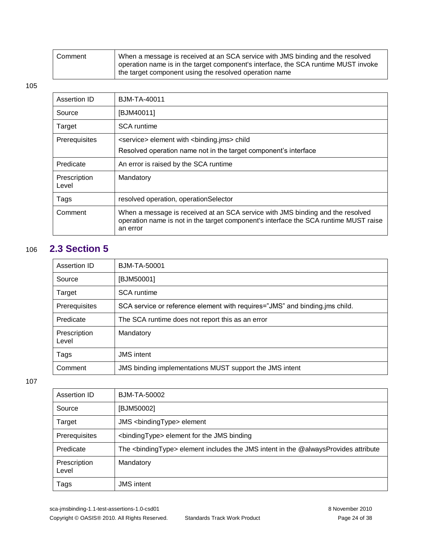| Comment | When a message is received at an SCA service with JMS binding and the resolved<br>$\overline{a}$ operation name is in the target component's interface, the SCA runtime MUST invoke<br>the target component using the resolved operation name |
|---------|-----------------------------------------------------------------------------------------------------------------------------------------------------------------------------------------------------------------------------------------------|
|         |                                                                                                                                                                                                                                               |

| Assertion ID          | <b>BJM-TA-40011</b>                                                                                                                                                                |
|-----------------------|------------------------------------------------------------------------------------------------------------------------------------------------------------------------------------|
| Source                | [BJM40011]                                                                                                                                                                         |
| Target                | <b>SCA</b> runtime                                                                                                                                                                 |
| Prerequisites         | <service> element with <br/>standing.jms&gt; child<br/>Resolved operation name not in the target component's interface</service>                                                   |
| Predicate             | An error is raised by the SCA runtime                                                                                                                                              |
| Prescription<br>Level | Mandatory                                                                                                                                                                          |
| Tags                  | resolved operation, operationSelector                                                                                                                                              |
| Comment               | When a message is received at an SCA service with JMS binding and the resolved<br>operation name is not in the target component's interface the SCA runtime MUST raise<br>an error |

## 106 **2.3 Section 5**

| Assertion ID          | BJM-TA-50001                                                                |
|-----------------------|-----------------------------------------------------------------------------|
| Source                | [BJM50001]                                                                  |
| Target                | <b>SCA</b> runtime                                                          |
| Prerequisites         | SCA service or reference element with requires="JMS" and binding.jms child. |
| Predicate             | The SCA runtime does not report this as an error                            |
| Prescription<br>Level | Mandatory                                                                   |
| Tags                  | <b>JMS</b> intent                                                           |
| Comment               | JMS binding implementations MUST support the JMS intent                     |

| Assertion ID          | BJM-TA-50002                                                                                     |
|-----------------------|--------------------------------------------------------------------------------------------------|
| Source                | [BJM50002]                                                                                       |
| Target                |                                                                                                  |
| Prerequisites         | <bindingtype> element for the JMS binding</bindingtype>                                          |
| Predicate             | The <bindingtype> element includes the JMS intent in the @alwaysProvides attribute</bindingtype> |
| Prescription<br>Level | Mandatory                                                                                        |
| Tags                  | <b>JMS</b> intent                                                                                |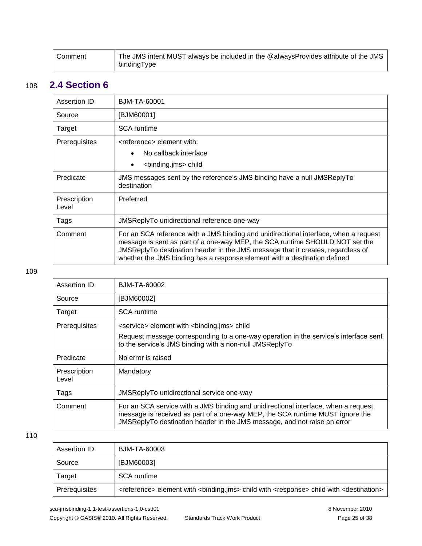| Comment | The JMS intent MUST always be included in the @alwaysProvides attribute of the JMS |
|---------|------------------------------------------------------------------------------------|
|         | bindingType                                                                        |

### 108 **2.4 Section 6**

| Assertion ID          | BJM-TA-60001                                                                                                                                                                                                                                                                                                                         |
|-----------------------|--------------------------------------------------------------------------------------------------------------------------------------------------------------------------------------------------------------------------------------------------------------------------------------------------------------------------------------|
| Source                | [BJM60001]                                                                                                                                                                                                                                                                                                                           |
| Target                | <b>SCA</b> runtime                                                                                                                                                                                                                                                                                                                   |
| Prerequisites         | <reference> element with:<br/>No callback interface<br/><binding.jms> child<br/><math display="inline">\bullet</math></binding.jms></reference>                                                                                                                                                                                      |
| Predicate             | JMS messages sent by the reference's JMS binding have a null JMSReplyTo<br>destination                                                                                                                                                                                                                                               |
| Prescription<br>Level | Preferred                                                                                                                                                                                                                                                                                                                            |
| Tags                  | JMSReplyTo unidirectional reference one-way                                                                                                                                                                                                                                                                                          |
| Comment               | For an SCA reference with a JMS binding and unidirectional interface, when a request<br>message is sent as part of a one-way MEP, the SCA runtime SHOULD NOT set the<br>JMSReplyTo destination header in the JMS message that it creates, regardless of<br>whether the JMS binding has a response element with a destination defined |

#### 109

| Assertion ID          | BJM-TA-60002                                                                                                                                                                                                                                    |
|-----------------------|-------------------------------------------------------------------------------------------------------------------------------------------------------------------------------------------------------------------------------------------------|
| Source                | [BJM60002]                                                                                                                                                                                                                                      |
| Target                | <b>SCA</b> runtime                                                                                                                                                                                                                              |
| Prerequisites         | <service> element with <br/> <br/>binding.jms&gt; child</service>                                                                                                                                                                               |
|                       | Request message corresponding to a one-way operation in the service's interface sent<br>to the service's JMS binding with a non-null JMSReplyTo                                                                                                 |
| Predicate             | No error is raised                                                                                                                                                                                                                              |
| Prescription<br>Level | Mandatory                                                                                                                                                                                                                                       |
| Tags                  | JMSReplyTo unidirectional service one-way                                                                                                                                                                                                       |
| Comment               | For an SCA service with a JMS binding and unidirectional interface, when a request<br>message is received as part of a one-way MEP, the SCA runtime MUST ignore the<br>JMSReplyTo destination header in the JMS message, and not raise an error |

| Assertion ID  | BJM-TA-60003                                                                                                                            |
|---------------|-----------------------------------------------------------------------------------------------------------------------------------------|
| Source        | [BJM60003]                                                                                                                              |
| Target        | <b>SCA</b> runtime                                                                                                                      |
| Prerequisites | <reference> element with <br/> <br/>hinding.jms&gt; child with <response> child with <destination></destination></response></reference> |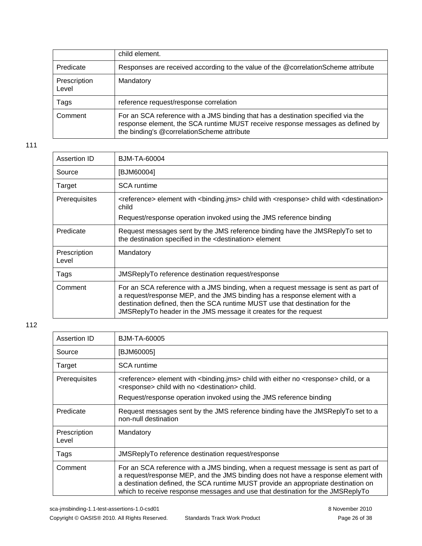|                       | child element.                                                                                                                                                                                                   |
|-----------------------|------------------------------------------------------------------------------------------------------------------------------------------------------------------------------------------------------------------|
| Predicate             | Responses are received according to the value of the @correlationScheme attribute                                                                                                                                |
| Prescription<br>Level | Mandatory                                                                                                                                                                                                        |
| Tags                  | reference request/response correlation                                                                                                                                                                           |
| Comment               | For an SCA reference with a JMS binding that has a destination specified via the<br>response element, the SCA runtime MUST receive response messages as defined by<br>the binding's @correlationScheme attribute |

| Assertion ID          | BJM-TA-60004                                                                                                                                                                                                                                                                                                      |
|-----------------------|-------------------------------------------------------------------------------------------------------------------------------------------------------------------------------------------------------------------------------------------------------------------------------------------------------------------|
| Source                | [BJM60004]                                                                                                                                                                                                                                                                                                        |
| Target                | <b>SCA</b> runtime                                                                                                                                                                                                                                                                                                |
| Prerequisites         | <reference> element with <binding.jms> child with <response> child with <destination><br/>child<br/>Request/response operation invoked using the JMS reference binding</destination></response></binding.jms></reference>                                                                                         |
| Predicate             | Request messages sent by the JMS reference binding have the JMSReplyTo set to<br>the destination specified in the <destination> element</destination>                                                                                                                                                             |
| Prescription<br>Level | Mandatory                                                                                                                                                                                                                                                                                                         |
| Tags                  | JMSReplyTo reference destination request/response                                                                                                                                                                                                                                                                 |
| Comment               | For an SCA reference with a JMS binding, when a request message is sent as part of<br>a request/response MEP, and the JMS binding has a response element with a<br>destination defined, then the SCA runtime MUST use that destination for the<br>JMSReplyTo header in the JMS message it creates for the request |

| Assertion ID          | <b>BJM-TA-60005</b>                                                                                                                                                                                                                                                                                                                            |
|-----------------------|------------------------------------------------------------------------------------------------------------------------------------------------------------------------------------------------------------------------------------------------------------------------------------------------------------------------------------------------|
| Source                | [BJM60005]                                                                                                                                                                                                                                                                                                                                     |
| Target                | <b>SCA</b> runtime                                                                                                                                                                                                                                                                                                                             |
| Prerequisites         | <reference> element with <binding.jms> child with either no <response> child, or a<br/><response> child with no <destination> child.</destination></response></response></binding.jms></reference>                                                                                                                                             |
|                       | Request/response operation invoked using the JMS reference binding                                                                                                                                                                                                                                                                             |
| Predicate             | Request messages sent by the JMS reference binding have the JMSReplyTo set to a<br>non-null destination                                                                                                                                                                                                                                        |
| Prescription<br>Level | Mandatory                                                                                                                                                                                                                                                                                                                                      |
| Tags                  | JMSReplyTo reference destination request/response                                                                                                                                                                                                                                                                                              |
| Comment               | For an SCA reference with a JMS binding, when a request message is sent as part of<br>a request/response MEP, and the JMS binding does not have a response element with<br>a destination defined, the SCA runtime MUST provide an appropriate destination on<br>which to receive response messages and use that destination for the JMSReplyTo |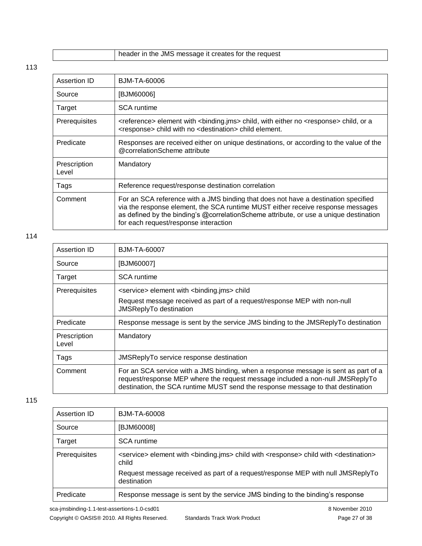|  |  |  | header in the JMS message it creates for the request |  |
|--|--|--|------------------------------------------------------|--|
|--|--|--|------------------------------------------------------|--|

| Assertion ID          | BJM-TA-60006                                                                                                                                                                                                                                                                                            |
|-----------------------|---------------------------------------------------------------------------------------------------------------------------------------------------------------------------------------------------------------------------------------------------------------------------------------------------------|
| Source                | [BJM60006]                                                                                                                                                                                                                                                                                              |
| Target                | <b>SCA</b> runtime                                                                                                                                                                                                                                                                                      |
| Prerequisites         | <reference> element with <binding.jms> child, with either no <response> child, or a<br/><response> child with no <destination> child element.</destination></response></response></binding.jms></reference>                                                                                             |
| Predicate             | Responses are received either on unique destinations, or according to the value of the<br>@correlationScheme attribute                                                                                                                                                                                  |
| Prescription<br>Level | Mandatory                                                                                                                                                                                                                                                                                               |
| Tags                  | Reference request/response destination correlation                                                                                                                                                                                                                                                      |
| Comment               | For an SCA reference with a JMS binding that does not have a destination specified<br>via the response element, the SCA runtime MUST either receive response messages<br>as defined by the binding's @correlationScheme attribute, or use a unique destination<br>for each request/response interaction |

#### 114

| Assertion ID          | BJM-TA-60007                                                                                                                                                                                                                                            |
|-----------------------|---------------------------------------------------------------------------------------------------------------------------------------------------------------------------------------------------------------------------------------------------------|
| Source                | [BJM60007]                                                                                                                                                                                                                                              |
| Target                | SCA runtime                                                                                                                                                                                                                                             |
| Prerequisites         | <service> element with <br/> <br/>binding.jms&gt; child</service>                                                                                                                                                                                       |
|                       | Request message received as part of a request/response MEP with non-null<br>JMSReplyTo destination                                                                                                                                                      |
| Predicate             | Response message is sent by the service JMS binding to the JMSReplyTo destination                                                                                                                                                                       |
| Prescription<br>Level | Mandatory                                                                                                                                                                                                                                               |
| Tags                  | JMSReplyTo service response destination                                                                                                                                                                                                                 |
| Comment               | For an SCA service with a JMS binding, when a response message is sent as part of a<br>request/response MEP where the request message included a non-null JMSReplyTo<br>destination, the SCA runtime MUST send the response message to that destination |

#### 115

| Assertion ID  | <b>BJM-TA-60008</b>                                                                                                                            |
|---------------|------------------------------------------------------------------------------------------------------------------------------------------------|
| Source        | [BJM60008]                                                                                                                                     |
| Target        | <b>SCA</b> runtime                                                                                                                             |
| Prerequisites | <service> element with <binding.jms> child with <response> child with <destination><br/>child</destination></response></binding.jms></service> |
|               | Request message received as part of a request/response MEP with null JMSReplyTo<br>destination                                                 |
| Predicate     | Response message is sent by the service JMS binding to the binding's response                                                                  |

sca-jmsbinding-1.1-test-assertions-1.0-csd01 8 November 2010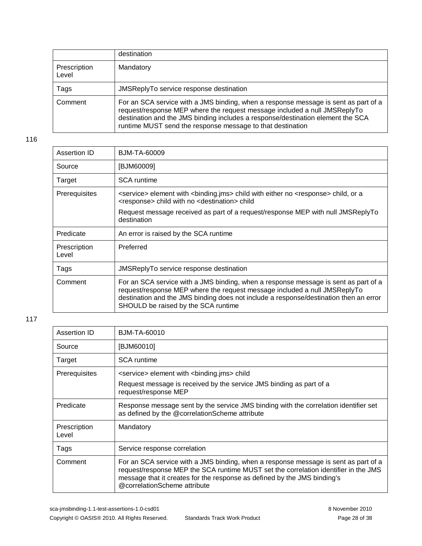|                       | destination                                                                                                                                                                                                                                                                                                       |
|-----------------------|-------------------------------------------------------------------------------------------------------------------------------------------------------------------------------------------------------------------------------------------------------------------------------------------------------------------|
| Prescription<br>Level | Mandatory                                                                                                                                                                                                                                                                                                         |
| Tags                  | JMSReplyTo service response destination                                                                                                                                                                                                                                                                           |
| Comment               | For an SCA service with a JMS binding, when a response message is sent as part of a<br>request/response MEP where the request message included a null JMSReplyTo<br>destination and the JMS binding includes a response/destination element the SCA<br>runtime MUST send the response message to that destination |

| Assertion ID          | BJM-TA-60009                                                                                                                                                                                                                                                                                     |
|-----------------------|--------------------------------------------------------------------------------------------------------------------------------------------------------------------------------------------------------------------------------------------------------------------------------------------------|
| Source                | [BJM60009]                                                                                                                                                                                                                                                                                       |
| Target                | SCA runtime                                                                                                                                                                                                                                                                                      |
| Prerequisites         | <service> element with <binding.jms> child with either no <response> child, or a<br/><response> child with no <destination> child</destination></response></response></binding.jms></service>                                                                                                    |
|                       | Request message received as part of a request/response MEP with null JMSReplyTo<br>destination                                                                                                                                                                                                   |
| Predicate             | An error is raised by the SCA runtime                                                                                                                                                                                                                                                            |
| Prescription<br>Level | Preferred                                                                                                                                                                                                                                                                                        |
| Tags                  | JMSReplyTo service response destination                                                                                                                                                                                                                                                          |
| Comment               | For an SCA service with a JMS binding, when a response message is sent as part of a<br>request/response MEP where the request message included a null JMSReplyTo<br>destination and the JMS binding does not include a response/destination then an error<br>SHOULD be raised by the SCA runtime |

| Assertion ID          | <b>BJM-TA-60010</b>                                                                                                                                                                                                                                                                    |
|-----------------------|----------------------------------------------------------------------------------------------------------------------------------------------------------------------------------------------------------------------------------------------------------------------------------------|
| Source                | [BJM60010]                                                                                                                                                                                                                                                                             |
| Target                | <b>SCA</b> runtime                                                                                                                                                                                                                                                                     |
| Prerequisites         | <service> element with <br/> <br/>binding.jms&gt; child</service>                                                                                                                                                                                                                      |
|                       | Request message is received by the service JMS binding as part of a<br>request/response MEP                                                                                                                                                                                            |
| Predicate             | Response message sent by the service JMS binding with the correlation identifier set<br>as defined by the @correlationScheme attribute                                                                                                                                                 |
| Prescription<br>Level | Mandatory                                                                                                                                                                                                                                                                              |
| Tags                  | Service response correlation                                                                                                                                                                                                                                                           |
| Comment               | For an SCA service with a JMS binding, when a response message is sent as part of a<br>request/response MEP the SCA runtime MUST set the correlation identifier in the JMS<br>message that it creates for the response as defined by the JMS binding's<br>@correlationScheme attribute |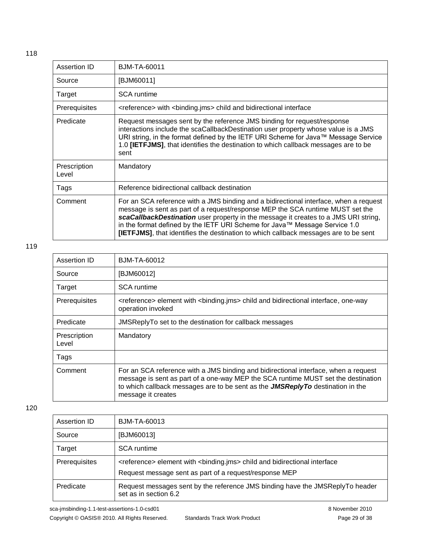| Assertion ID          | BJM-TA-60011                                                                                                                                                                                                                                                                                                                                                                                                                                 |
|-----------------------|----------------------------------------------------------------------------------------------------------------------------------------------------------------------------------------------------------------------------------------------------------------------------------------------------------------------------------------------------------------------------------------------------------------------------------------------|
| Source                | [BJM60011]                                                                                                                                                                                                                                                                                                                                                                                                                                   |
| Target                | <b>SCA</b> runtime                                                                                                                                                                                                                                                                                                                                                                                                                           |
| Prerequisites         | <reference> with <br/>binding.jms&gt; child and bidirectional interface</reference>                                                                                                                                                                                                                                                                                                                                                          |
| Predicate             | Request messages sent by the reference JMS binding for request/response<br>interactions include the scaCallbackDestination user property whose value is a JMS<br>URI string, in the format defined by the IETF URI Scheme for Java™ Message Service<br>1.0 [IETFJMS], that identifies the destination to which callback messages are to be<br>sent                                                                                           |
| Prescription<br>Level | Mandatory                                                                                                                                                                                                                                                                                                                                                                                                                                    |
| Tags                  | Reference bidirectional callback destination                                                                                                                                                                                                                                                                                                                                                                                                 |
| Comment               | For an SCA reference with a JMS binding and a bidirectional interface, when a request<br>message is sent as part of a request/response MEP the SCA runtime MUST set the<br>scaCallbackDestination user property in the message it creates to a JMS URI string,<br>in the format defined by the IETF URI Scheme for Java™ Message Service 1.0<br><b>[IETFJMS]</b> , that identifies the destination to which callback messages are to be sent |

| Assertion ID          | BJM-TA-60012                                                                                                                                                                                                                                                                       |
|-----------------------|------------------------------------------------------------------------------------------------------------------------------------------------------------------------------------------------------------------------------------------------------------------------------------|
| Source                | [BJM60012]                                                                                                                                                                                                                                                                         |
| Target                | <b>SCA</b> runtime                                                                                                                                                                                                                                                                 |
| Prerequisites         | <reference> element with <br/> <br/>hiding.jms&gt; child and bidirectional interface, one-way<br/>operation invoked</reference>                                                                                                                                                    |
| Predicate             | JMSReplyTo set to the destination for callback messages                                                                                                                                                                                                                            |
| Prescription<br>Level | Mandatory                                                                                                                                                                                                                                                                          |
| Tags                  |                                                                                                                                                                                                                                                                                    |
| Comment               | For an SCA reference with a JMS binding and bidirectional interface, when a request<br>message is sent as part of a one-way MEP the SCA runtime MUST set the destination<br>to which callback messages are to be sent as the $JMSReplyTo$ destination in the<br>message it creates |

| Assertion ID  | <b>BJM-TA-60013</b>                                                                                                                                          |  |
|---------------|--------------------------------------------------------------------------------------------------------------------------------------------------------------|--|
| Source        | [BJM60013]                                                                                                                                                   |  |
| Target        | <b>SCA</b> runtime                                                                                                                                           |  |
| Prerequisites | <reference> element with <br/> <br/>hinding.jms&gt; child and bidirectional interface<br/>Request message sent as part of a request/response MEP</reference> |  |
| Predicate     | Request messages sent by the reference JMS binding have the JMSReplyTo header<br>set as in section 6.2                                                       |  |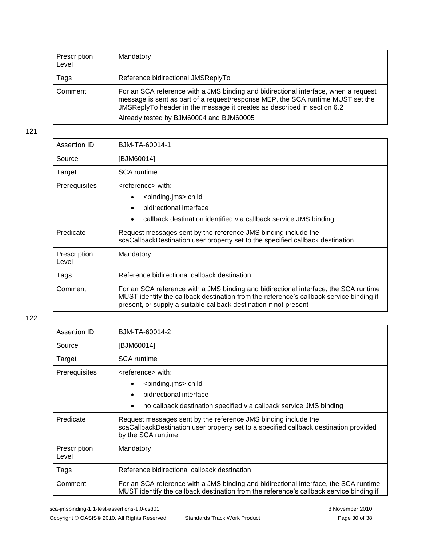| Prescription<br>Level | Mandatory                                                                                                                                                                                                                                                                                    |
|-----------------------|----------------------------------------------------------------------------------------------------------------------------------------------------------------------------------------------------------------------------------------------------------------------------------------------|
| Tags                  | Reference bidirectional JMSReplyTo                                                                                                                                                                                                                                                           |
| Comment               | For an SCA reference with a JMS binding and bidirectional interface, when a request<br>message is sent as part of a request/response MEP, the SCA runtime MUST set the<br>JMSReplyTo header in the message it creates as described in section 6.2<br>Already tested by BJM60004 and BJM60005 |

| Assertion ID          | BJM-TA-60014-1                                                                                                                                                                                                                                       |  |
|-----------------------|------------------------------------------------------------------------------------------------------------------------------------------------------------------------------------------------------------------------------------------------------|--|
| Source                | [BJM60014]                                                                                                                                                                                                                                           |  |
| Target                | <b>SCA</b> runtime                                                                                                                                                                                                                                   |  |
| Prerequisites         | <reference> with:<br/><binding.jms> child<br/>bidirectional interface<br/><math>\bullet</math><br/>callback destination identified via callback service JMS binding</binding.jms></reference>                                                        |  |
| Predicate             | Request messages sent by the reference JMS binding include the<br>scaCallbackDestination user property set to the specified callback destination                                                                                                     |  |
| Prescription<br>Level | Mandatory                                                                                                                                                                                                                                            |  |
| Tags                  | Reference bidirectional callback destination                                                                                                                                                                                                         |  |
| Comment               | For an SCA reference with a JMS binding and bidirectional interface, the SCA runtime<br>MUST identify the callback destination from the reference's callback service binding if<br>present, or supply a suitable callback destination if not present |  |

| Assertion ID          | BJM-TA-60014-2                                                                                                                                                                                                                                                     |  |
|-----------------------|--------------------------------------------------------------------------------------------------------------------------------------------------------------------------------------------------------------------------------------------------------------------|--|
| Source                | [BJM60014]                                                                                                                                                                                                                                                         |  |
| Target                | <b>SCA</b> runtime                                                                                                                                                                                                                                                 |  |
| <b>Prerequisites</b>  | <reference> with:<br/><binding.jms> child<br/><math display="inline">\bullet</math><br/>bidirectional interface<br/><math>\bullet</math><br/>no callback destination specified via callback service JMS binding<br/><math>\bullet</math></binding.jms></reference> |  |
| Predicate             | Request messages sent by the reference JMS binding include the<br>scaCallbackDestination user property set to a specified callback destination provided<br>by the SCA runtime                                                                                      |  |
| Prescription<br>Level | Mandatory                                                                                                                                                                                                                                                          |  |
| Tags                  | Reference bidirectional callback destination                                                                                                                                                                                                                       |  |
| Comment               | For an SCA reference with a JMS binding and bidirectional interface, the SCA runtime<br>MUST identify the callback destination from the reference's callback service binding if                                                                                    |  |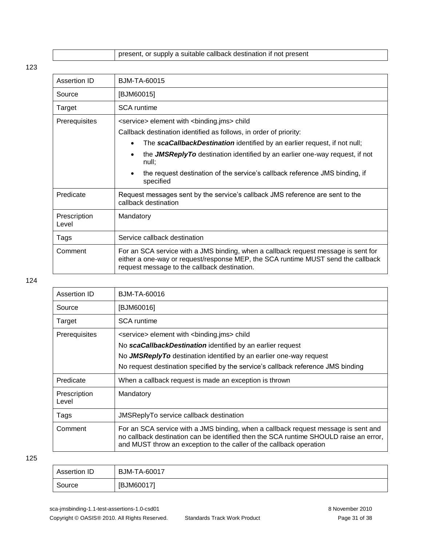| present, or supply a suitable callback destination if not present |
|-------------------------------------------------------------------|
|-------------------------------------------------------------------|

| Assertion ID          | BJM-TA-60015                                                                                                                                                                                                           |  |
|-----------------------|------------------------------------------------------------------------------------------------------------------------------------------------------------------------------------------------------------------------|--|
| Source                | [BJM60015]                                                                                                                                                                                                             |  |
| Target                | <b>SCA</b> runtime                                                                                                                                                                                                     |  |
| Prerequisites         | <service> element with <br/> <br/>binding.jms&gt; child</service>                                                                                                                                                      |  |
|                       | Callback destination identified as follows, in order of priority:                                                                                                                                                      |  |
|                       | The scaCallbackDestination identified by an earlier request, if not null;                                                                                                                                              |  |
|                       | the <b>JMSReplyTo</b> destination identified by an earlier one-way request, if not<br>null;                                                                                                                            |  |
|                       | the request destination of the service's callback reference JMS binding, if<br>specified                                                                                                                               |  |
| Predicate             | Request messages sent by the service's callback JMS reference are sent to the<br>callback destination                                                                                                                  |  |
| Prescription<br>Level | Mandatory                                                                                                                                                                                                              |  |
| Tags                  | Service callback destination                                                                                                                                                                                           |  |
| Comment               | For an SCA service with a JMS binding, when a callback request message is sent for<br>either a one-way or request/response MEP, the SCA runtime MUST send the callback<br>request message to the callback destination. |  |

#### 124

| Assertion ID                                                                        | BJM-TA-60016                                                                                                                                                                                                                                       |
|-------------------------------------------------------------------------------------|----------------------------------------------------------------------------------------------------------------------------------------------------------------------------------------------------------------------------------------------------|
| Source                                                                              | [BJM60016]                                                                                                                                                                                                                                         |
| Target                                                                              | <b>SCA</b> runtime                                                                                                                                                                                                                                 |
| <b>Prerequisites</b><br><service> element with <br/>sinding.jms&gt; child</service> |                                                                                                                                                                                                                                                    |
|                                                                                     | No scaCallbackDestination identified by an earlier request                                                                                                                                                                                         |
|                                                                                     | No JMSReplyTo destination identified by an earlier one-way request                                                                                                                                                                                 |
|                                                                                     | No request destination specified by the service's callback reference JMS binding                                                                                                                                                                   |
| Predicate                                                                           | When a callback request is made an exception is thrown                                                                                                                                                                                             |
| Prescription<br>Level                                                               | Mandatory                                                                                                                                                                                                                                          |
| Tags                                                                                | JMSReplyTo service callback destination                                                                                                                                                                                                            |
| Comment                                                                             | For an SCA service with a JMS binding, when a callback request message is sent and<br>no callback destination can be identified then the SCA runtime SHOULD raise an error,<br>and MUST throw an exception to the caller of the callback operation |

| Assertion ID | <b>BJM-TA-60017</b> |
|--------------|---------------------|
| Source       | [BJM60017]          |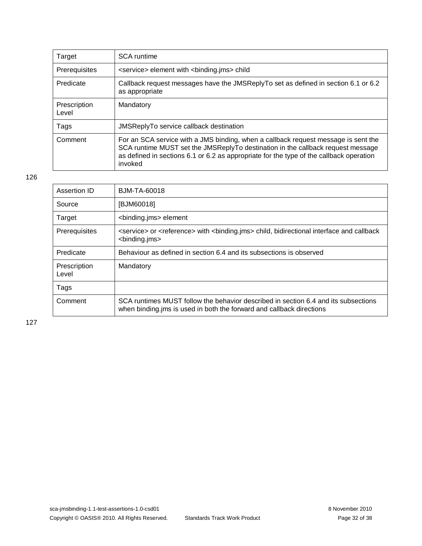| Target                | <b>SCA</b> runtime                                                                                                                                                                                                                                                          |
|-----------------------|-----------------------------------------------------------------------------------------------------------------------------------------------------------------------------------------------------------------------------------------------------------------------------|
| Prerequisites         | <service> element with <br/> <br/>binding.jms&gt; child</service>                                                                                                                                                                                                           |
| Predicate             | Callback request messages have the JMSReplyTo set as defined in section 6.1 or 6.2<br>as appropriate                                                                                                                                                                        |
| Prescription<br>Level | Mandatory                                                                                                                                                                                                                                                                   |
| Tags                  | <b>JMSReplyTo service callback destination</b>                                                                                                                                                                                                                              |
| Comment               | For an SCA service with a JMS binding, when a callback request message is sent the<br>SCA runtime MUST set the JMSReplyTo destination in the callback request message<br>as defined in sections 6.1 or 6.2 as appropriate for the type of the callback operation<br>invoked |

| Assertion ID          | BJM-TA-60018                                                                                                                                                |
|-----------------------|-------------------------------------------------------------------------------------------------------------------------------------------------------------|
| Source                | [BJM60018]                                                                                                                                                  |
| Target                | <binding.jms> element</binding.jms>                                                                                                                         |
| Prerequisites         | <service> or <reference> with <binding.jms> child, bidirectional interface and callback<br/><binding.jms></binding.jms></binding.jms></reference></service> |
| Predicate             | Behaviour as defined in section 6.4 and its subsections is observed                                                                                         |
| Prescription<br>Level | Mandatory                                                                                                                                                   |
| Tags                  |                                                                                                                                                             |
| Comment               | SCA runtimes MUST follow the behavior described in section 6.4 and its subsections<br>when binding ims is used in both the forward and callback directions  |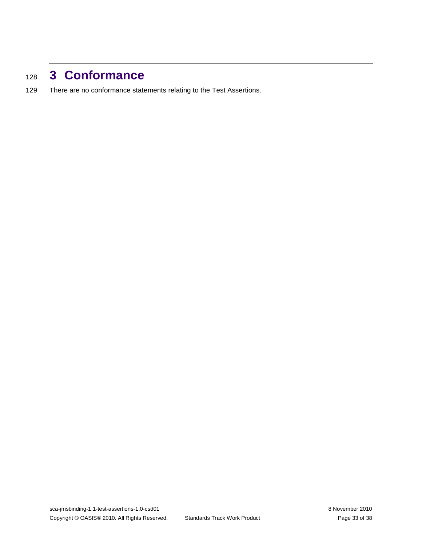## <sup>128</sup> **3 Conformance**

129 There are no conformance statements relating to the Test Assertions.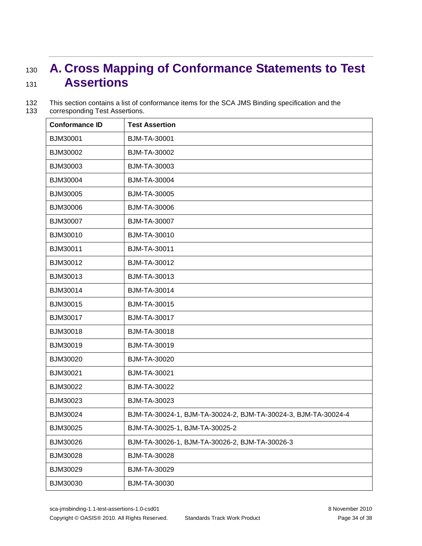## <sup>130</sup> **A. Cross Mapping of Conformance Statements to Test**  <sup>131</sup> **Assertions**

| 132 | This section contains a list of conformance items for the SCA JMS Binding specification and the |
|-----|-------------------------------------------------------------------------------------------------|
| 133 | corresponding Test Assertions.                                                                  |

| <b>Conformance ID</b> | <b>Test Assertion</b>                                          |
|-----------------------|----------------------------------------------------------------|
| BJM30001              | <b>BJM-TA-30001</b>                                            |
| BJM30002              | BJM-TA-30002                                                   |
| BJM30003              | BJM-TA-30003                                                   |
| BJM30004              | <b>BJM-TA-30004</b>                                            |
| BJM30005              | BJM-TA-30005                                                   |
| BJM30006              | <b>BJM-TA-30006</b>                                            |
| BJM30007              | BJM-TA-30007                                                   |
| BJM30010              | <b>BJM-TA-30010</b>                                            |
| BJM30011              | <b>BJM-TA-30011</b>                                            |
| BJM30012              | BJM-TA-30012                                                   |
| BJM30013              | BJM-TA-30013                                                   |
| BJM30014              | <b>BJM-TA-30014</b>                                            |
| BJM30015              | <b>BJM-TA-30015</b>                                            |
| BJM30017              | <b>BJM-TA-30017</b>                                            |
| BJM30018              | <b>BJM-TA-30018</b>                                            |
| BJM30019              | <b>BJM-TA-30019</b>                                            |
| BJM30020              | <b>BJM-TA-30020</b>                                            |
| BJM30021              | <b>BJM-TA-30021</b>                                            |
| BJM30022              | <b>BJM-TA-30022</b>                                            |
| BJM30023              | BJM-TA-30023                                                   |
| BJM30024              | BJM-TA-30024-1, BJM-TA-30024-2, BJM-TA-30024-3, BJM-TA-30024-4 |
| BJM30025              | BJM-TA-30025-1, BJM-TA-30025-2                                 |
| BJM30026              | BJM-TA-30026-1, BJM-TA-30026-2, BJM-TA-30026-3                 |
| BJM30028              | <b>BJM-TA-30028</b>                                            |
| BJM30029              | BJM-TA-30029                                                   |
| BJM30030              | <b>BJM-TA-30030</b>                                            |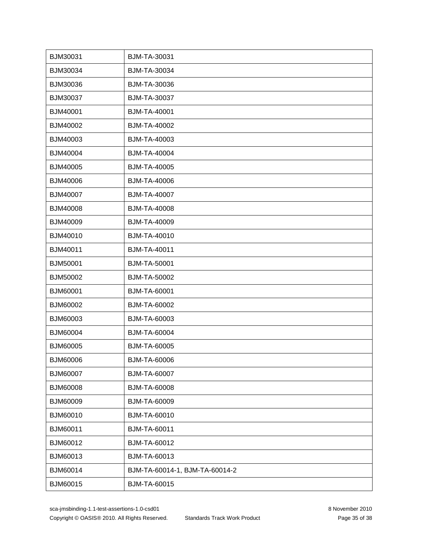| BJM30031        | BJM-TA-30031                   |
|-----------------|--------------------------------|
| BJM30034        | BJM-TA-30034                   |
| BJM30036        | BJM-TA-30036                   |
| BJM30037        | <b>BJM-TA-30037</b>            |
| BJM40001        | <b>BJM-TA-40001</b>            |
| BJM40002        | <b>BJM-TA-40002</b>            |
| BJM40003        | BJM-TA-40003                   |
| BJM40004        | <b>BJM-TA-40004</b>            |
| BJM40005        | <b>BJM-TA-40005</b>            |
| BJM40006        | <b>BJM-TA-40006</b>            |
| BJM40007        | <b>BJM-TA-40007</b>            |
| BJM40008        | <b>BJM-TA-40008</b>            |
| BJM40009        | <b>BJM-TA-40009</b>            |
| BJM40010        | <b>BJM-TA-40010</b>            |
| BJM40011        | <b>BJM-TA-40011</b>            |
| BJM50001        | <b>BJM-TA-50001</b>            |
| BJM50002        | <b>BJM-TA-50002</b>            |
| BJM60001        | <b>BJM-TA-60001</b>            |
| BJM60002        | <b>BJM-TA-60002</b>            |
| BJM60003        | BJM-TA-60003                   |
| BJM60004        | <b>BJM-TA-60004</b>            |
| BJM60005        | <b>BJM-TA-60005</b>            |
| BJM60006        | <b>BJM-TA-60006</b>            |
| <b>BJM60007</b> | BJM-TA-60007                   |
| BJM60008        | BJM-TA-60008                   |
| BJM60009        | <b>BJM-TA-60009</b>            |
| BJM60010        | BJM-TA-60010                   |
| BJM60011        | BJM-TA-60011                   |
| BJM60012        | <b>BJM-TA-60012</b>            |
| BJM60013        | BJM-TA-60013                   |
| BJM60014        | BJM-TA-60014-1, BJM-TA-60014-2 |
| BJM60015        | <b>BJM-TA-60015</b>            |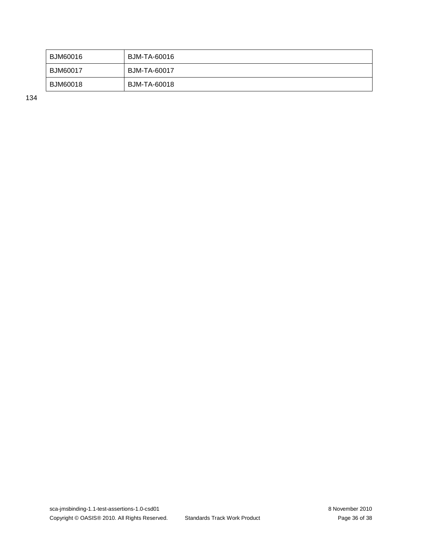| BJM60016        | BJM-TA-60016 |
|-----------------|--------------|
| <b>BJM60017</b> | BJM-TA-60017 |
| <b>BJM60018</b> | BJM-TA-60018 |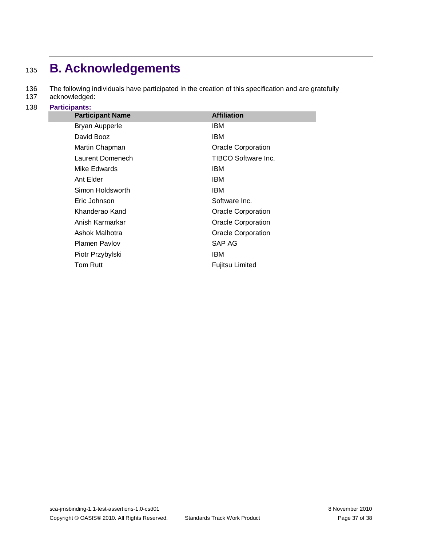## <sup>135</sup> **B. Acknowledgements**

136 The following individuals have participated in the creation of this specification and are gratefully

- 137 acknowledged:
- 138 **Participants:**

| <b>Participant Name</b> | <b>Affiliation</b>        |
|-------------------------|---------------------------|
| <b>Bryan Aupperle</b>   | IBM                       |
| David Booz              | IBM                       |
| Martin Chapman          | <b>Oracle Corporation</b> |
| Laurent Domenech        | TIBCO Software Inc.       |
| Mike Edwards            | IBM                       |
| Ant Elder               | IBM                       |
| Simon Holdsworth        | IBM                       |
| Eric Johnson            | Software Inc.             |
| Khanderao Kand          | Oracle Corporation        |
| Anish Karmarkar         | <b>Oracle Corporation</b> |
| Ashok Malhotra          | <b>Oracle Corporation</b> |
| <b>Plamen Pavlov</b>    | SAP AG                    |
| Piotr Przybylski        | IBM                       |
| Tom Rutt                | Fujitsu Limited           |
|                         |                           |